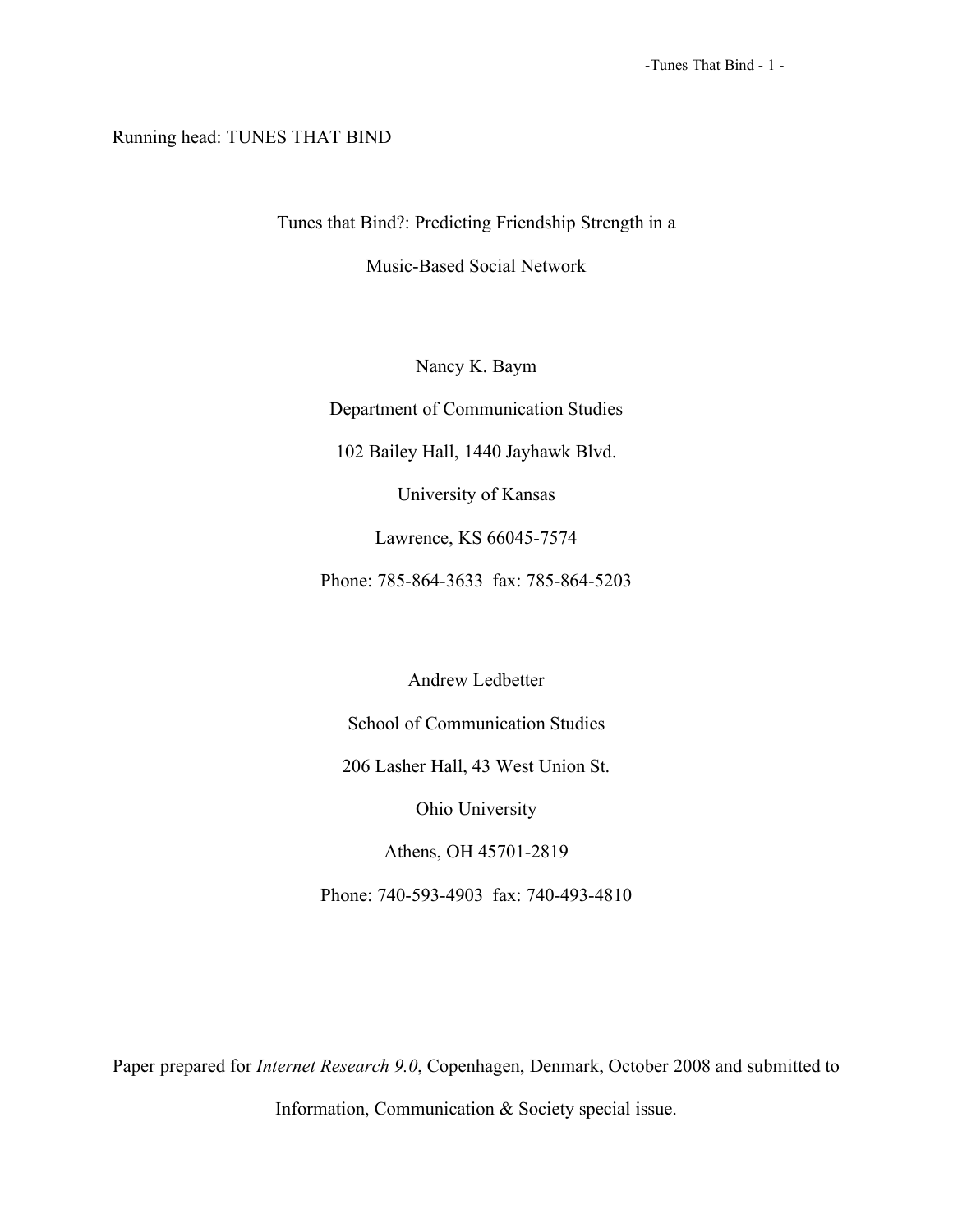# Running head: TUNES THAT BIND

Tunes that Bind?: Predicting Friendship Strength in a

Music-Based Social Network

Nancy K. Baym

Department of Communication Studies

102 Bailey Hall, 1440 Jayhawk Blvd.

University of Kansas

Lawrence, KS 66045-7574

Phone: 785-864-3633 fax: 785-864-5203

Andrew Ledbetter

School of Communication Studies

206 Lasher Hall, 43 West Union St.

Ohio University

Athens, OH 45701-2819

Phone: 740-593-4903 fax: 740-493-4810

Paper prepared for *Internet Research 9.0*, Copenhagen, Denmark, October 2008 and submitted to

Information, Communication & Society special issue.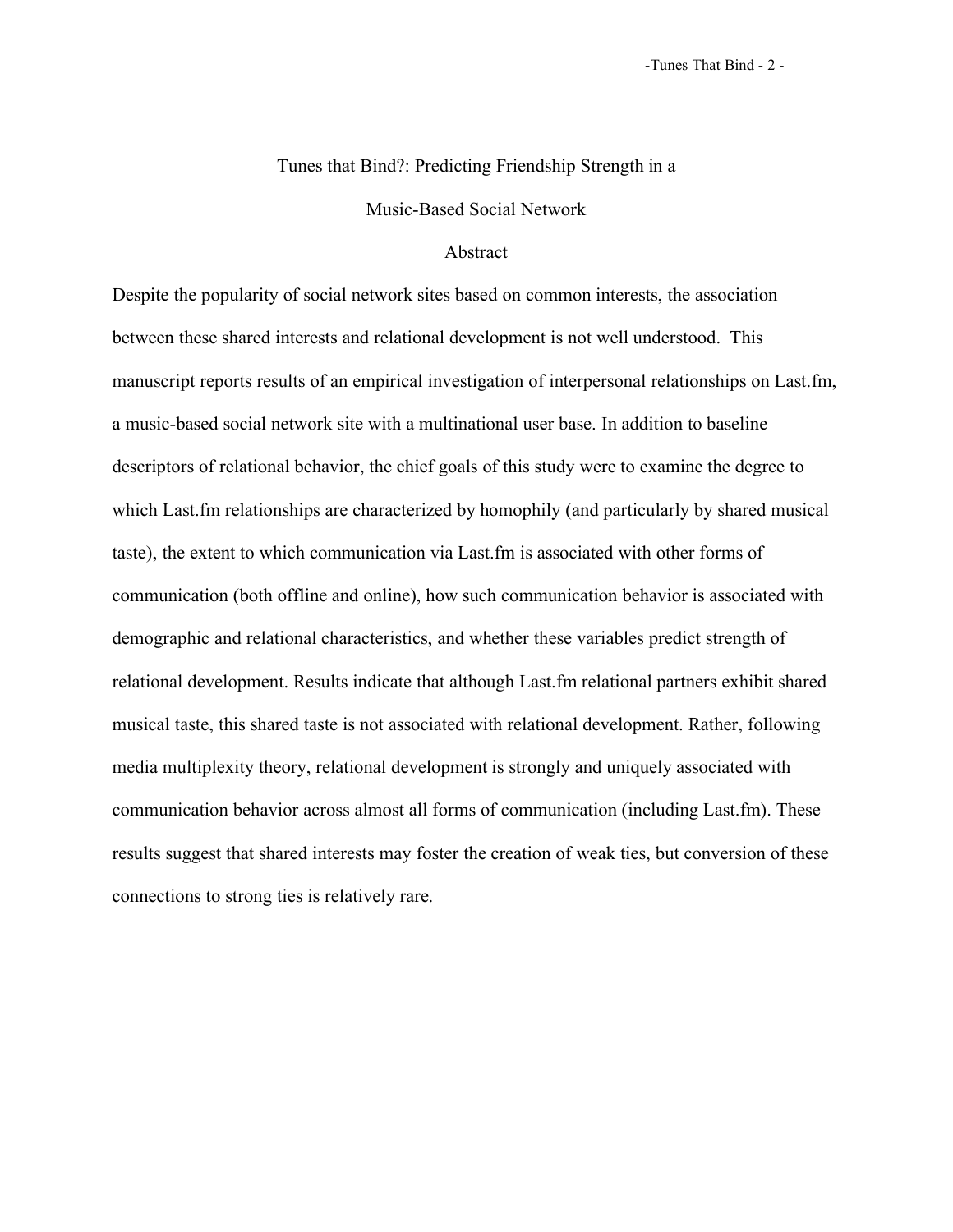# Tunes that Bind?: Predicting Friendship Strength in a

Music-Based Social Network

# Abstract

Despite the popularity of social network sites based on common interests, the association between these shared interests and relational development is not well understood. This manuscript reports results of an empirical investigation of interpersonal relationships on Last.fm, a music-based social network site with a multinational user base. In addition to baseline descriptors of relational behavior, the chief goals of this study were to examine the degree to which Last.fm relationships are characterized by homophily (and particularly by shared musical taste), the extent to which communication via Last.fm is associated with other forms of communication (both offline and online), how such communication behavior is associated with demographic and relational characteristics, and whether these variables predict strength of relational development. Results indicate that although Last.fm relational partners exhibit shared musical taste, this shared taste is not associated with relational development. Rather, following media multiplexity theory, relational development is strongly and uniquely associated with communication behavior across almost all forms of communication (including Last.fm). These results suggest that shared interests may foster the creation of weak ties, but conversion of these connections to strong ties is relatively rare.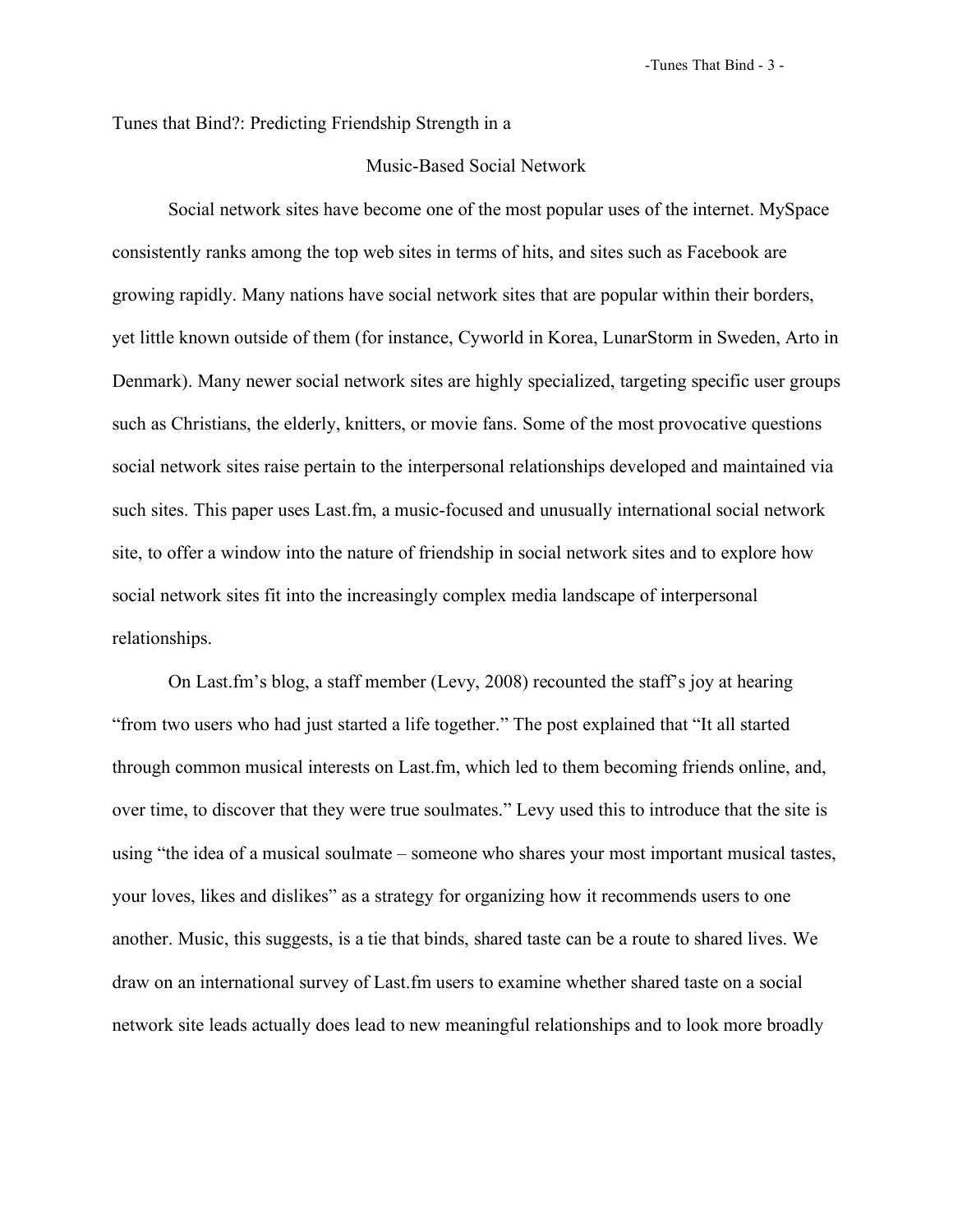-Tunes That Bind - 3 -

Tunes that Bind?: Predicting Friendship Strength in a

# Music-Based Social Network

Social network sites have become one of the most popular uses of the internet. MySpace consistently ranks among the top web sites in terms of hits, and sites such as Facebook are growing rapidly. Many nations have social network sites that are popular within their borders, yet little known outside of them (for instance, Cyworld in Korea, LunarStorm in Sweden, Arto in Denmark). Many newer social network sites are highly specialized, targeting specific user groups such as Christians, the elderly, knitters, or movie fans. Some of the most provocative questions social network sites raise pertain to the interpersonal relationships developed and maintained via such sites. This paper uses Last.fm, a music-focused and unusually international social network site, to offer a window into the nature of friendship in social network sites and to explore how social network sites fit into the increasingly complex media landscape of interpersonal relationships.

On Last.fm's blog, a staff member (Levy, 2008) recounted the staff's joy at hearing "from two users who had just started a life together." The post explained that "It all started through common musical interests on Last.fm, which led to them becoming friends online, and, over time, to discover that they were true soulmates." Levy used this to introduce that the site is using "the idea of a musical soulmate – someone who shares your most important musical tastes, your loves, likes and dislikes" as a strategy for organizing how it recommends users to one another. Music, this suggests, is a tie that binds, shared taste can be a route to shared lives. We draw on an international survey of Last.fm users to examine whether shared taste on a social network site leads actually does lead to new meaningful relationships and to look more broadly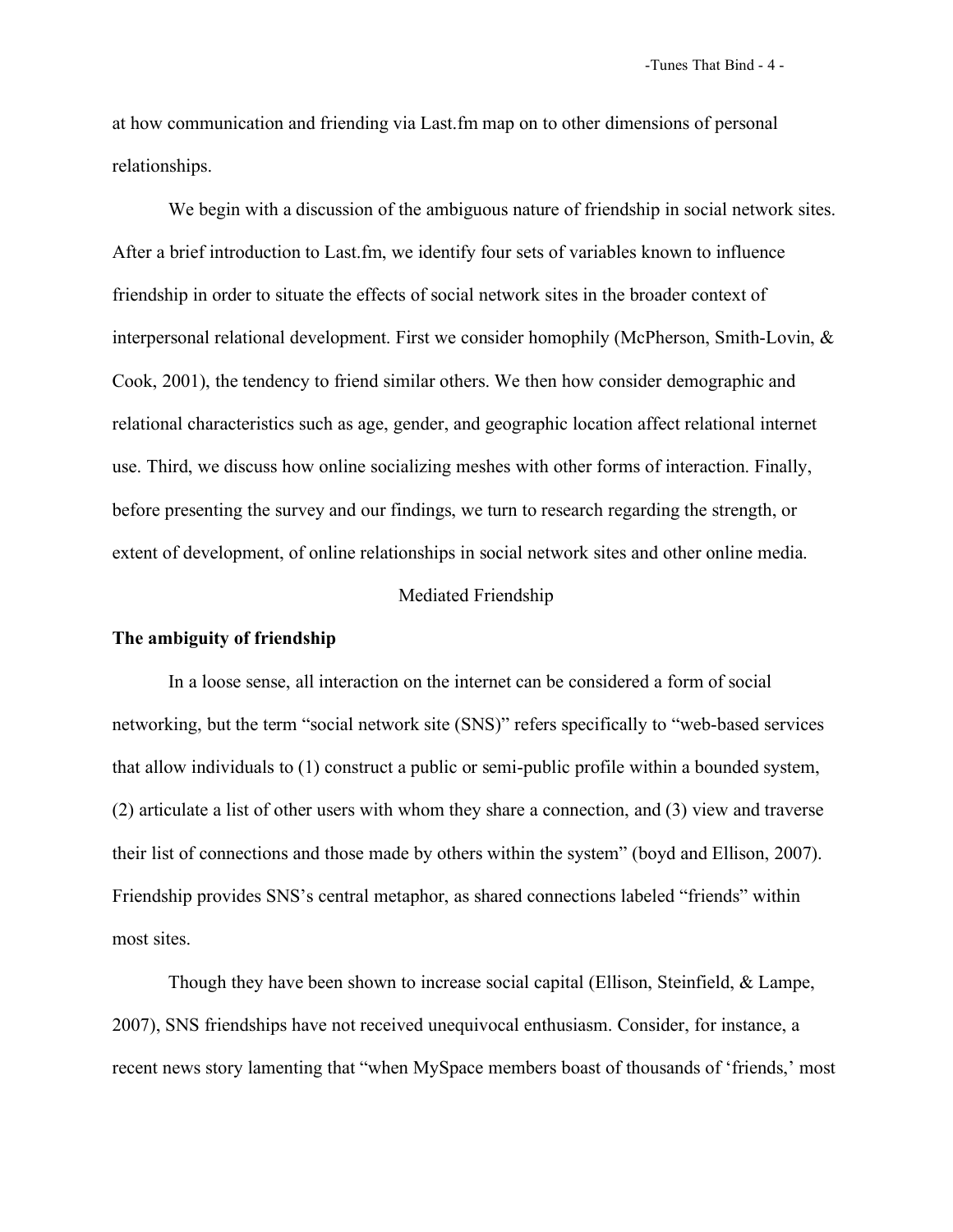at how communication and friending via Last.fm map on to other dimensions of personal relationships.

We begin with a discussion of the ambiguous nature of friendship in social network sites. After a brief introduction to Last.fm, we identify four sets of variables known to influence friendship in order to situate the effects of social network sites in the broader context of interpersonal relational development. First we consider homophily (McPherson, Smith-Lovin, & Cook, 2001), the tendency to friend similar others. We then how consider demographic and relational characteristics such as age, gender, and geographic location affect relational internet use. Third, we discuss how online socializing meshes with other forms of interaction. Finally, before presenting the survey and our findings, we turn to research regarding the strength, or extent of development, of online relationships in social network sites and other online media.

# Mediated Friendship

# **The ambiguity of friendship**

In a loose sense, all interaction on the internet can be considered a form of social networking, but the term "social network site (SNS)" refers specifically to "web-based services that allow individuals to (1) construct a public or semi-public profile within a bounded system, (2) articulate a list of other users with whom they share a connection, and (3) view and traverse their list of connections and those made by others within the system" (boyd and Ellison, 2007). Friendship provides SNS's central metaphor, as shared connections labeled "friends" within most sites.

Though they have been shown to increase social capital (Ellison, Steinfield, & Lampe, 2007), SNS friendships have not received unequivocal enthusiasm. Consider, for instance, a recent news story lamenting that "when MySpace members boast of thousands of 'friends,' most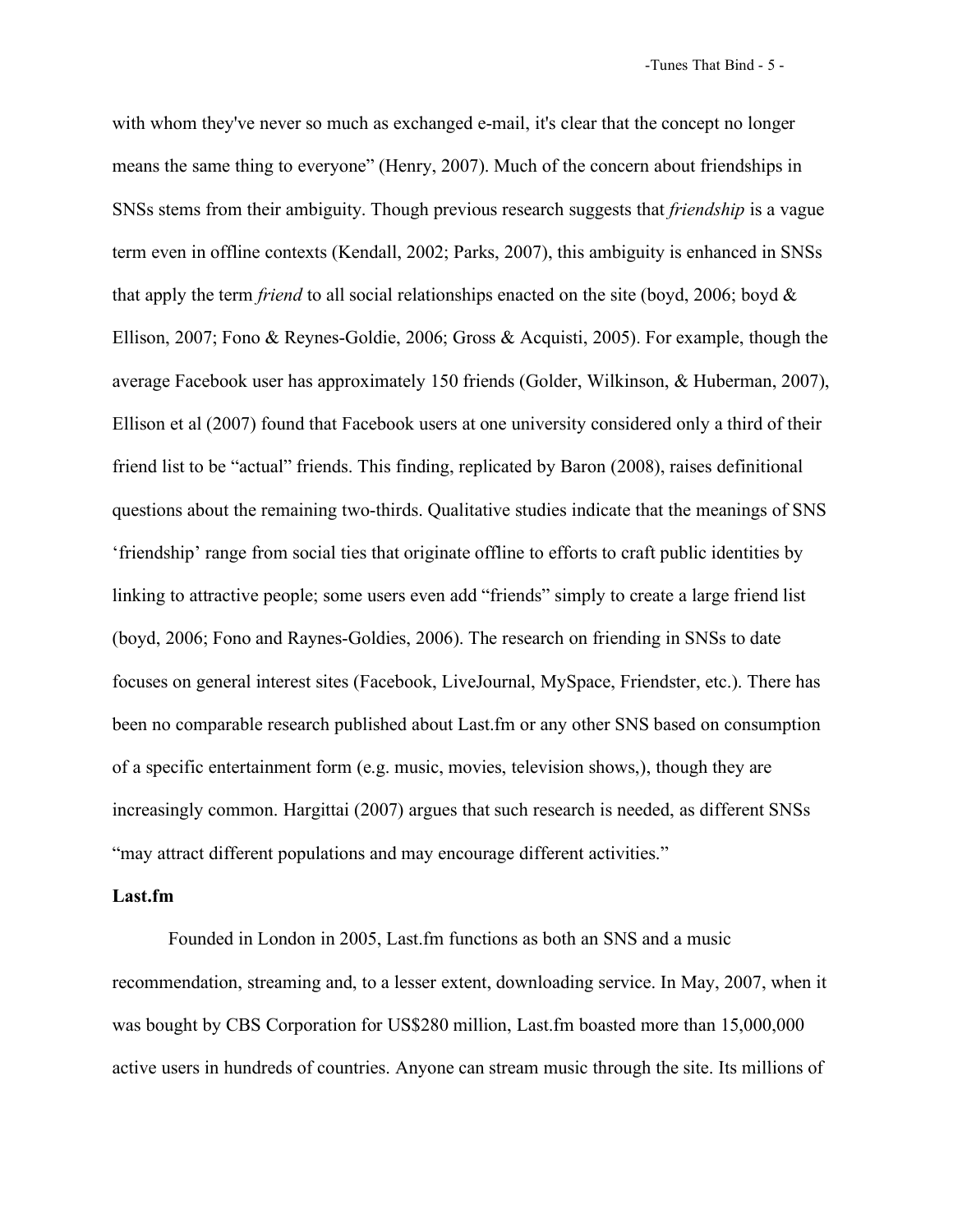with whom they've never so much as exchanged e-mail, it's clear that the concept no longer means the same thing to everyone" (Henry, 2007). Much of the concern about friendships in SNSs stems from their ambiguity. Though previous research suggests that *friendship* is a vague term even in offline contexts (Kendall, 2002; Parks, 2007), this ambiguity is enhanced in SNSs that apply the term *friend* to all social relationships enacted on the site (boyd, 2006; boyd & Ellison, 2007; Fono & Reynes-Goldie, 2006; Gross & Acquisti, 2005). For example, though the average Facebook user has approximately 150 friends (Golder, Wilkinson, & Huberman, 2007), Ellison et al (2007) found that Facebook users at one university considered only a third of their friend list to be "actual" friends. This finding, replicated by Baron (2008), raises definitional questions about the remaining two-thirds. Qualitative studies indicate that the meanings of SNS 'friendship' range from social ties that originate offline to efforts to craft public identities by linking to attractive people; some users even add "friends" simply to create a large friend list (boyd, 2006; Fono and Raynes-Goldies, 2006). The research on friending in SNSs to date focuses on general interest sites (Facebook, LiveJournal, MySpace, Friendster, etc.). There has been no comparable research published about Last.fm or any other SNS based on consumption of a specific entertainment form (e.g. music, movies, television shows,), though they are increasingly common. Hargittai (2007) argues that such research is needed, as different SNSs "may attract different populations and may encourage different activities."

## **Last.fm**

Founded in London in 2005, Last.fm functions as both an SNS and a music recommendation, streaming and, to a lesser extent, downloading service. In May, 2007, when it was bought by CBS Corporation for US\$280 million, Last.fm boasted more than 15,000,000 active users in hundreds of countries. Anyone can stream music through the site. Its millions of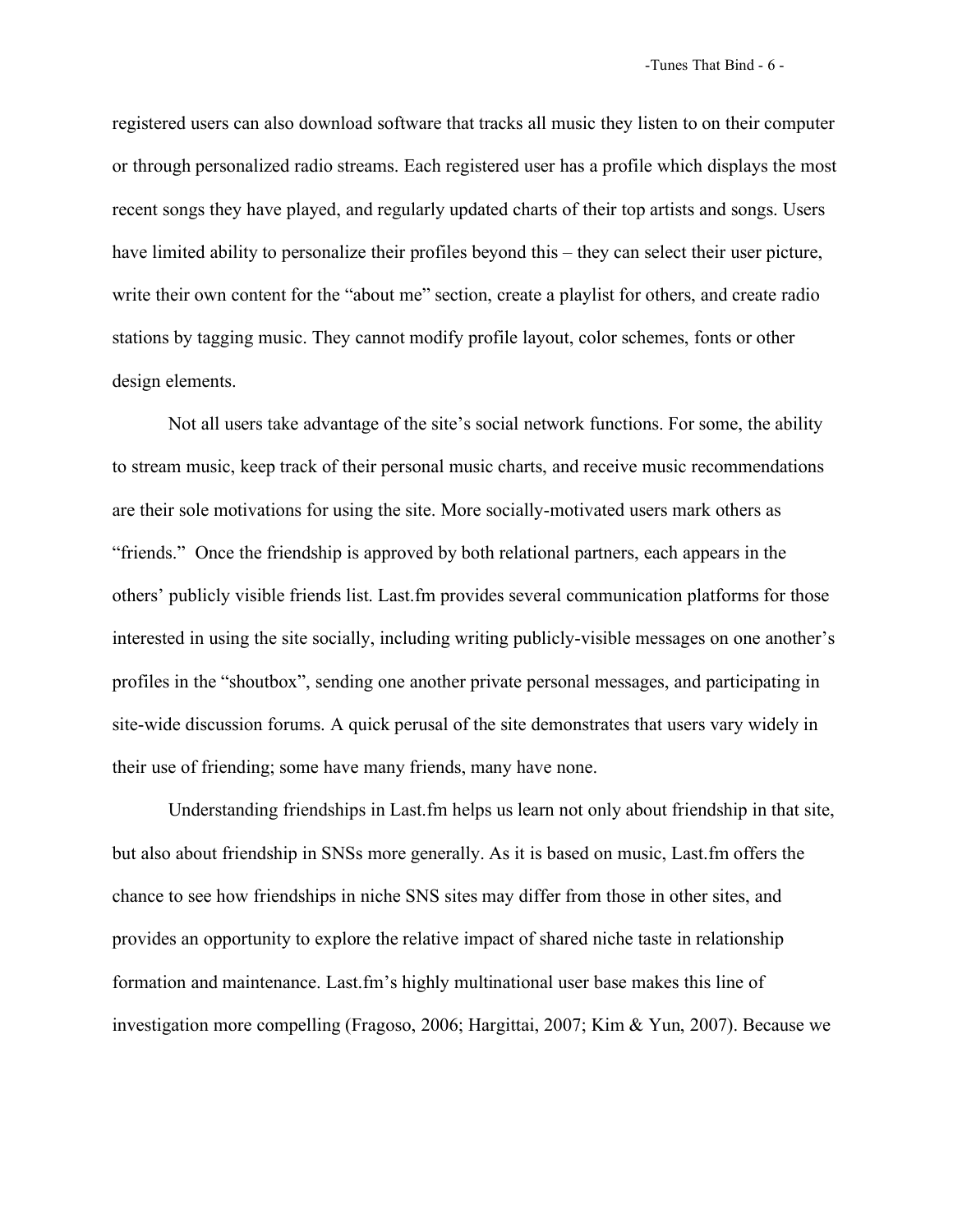registered users can also download software that tracks all music they listen to on their computer or through personalized radio streams. Each registered user has a profile which displays the most recent songs they have played, and regularly updated charts of their top artists and songs. Users have limited ability to personalize their profiles beyond this – they can select their user picture, write their own content for the "about me" section, create a playlist for others, and create radio stations by tagging music. They cannot modify profile layout, color schemes, fonts or other design elements.

Not all users take advantage of the site's social network functions. For some, the ability to stream music, keep track of their personal music charts, and receive music recommendations are their sole motivations for using the site. More socially-motivated users mark others as "friends." Once the friendship is approved by both relational partners, each appears in the others' publicly visible friends list. Last.fm provides several communication platforms for those interested in using the site socially, including writing publicly-visible messages on one another's profiles in the "shoutbox", sending one another private personal messages, and participating in site-wide discussion forums. A quick perusal of the site demonstrates that users vary widely in their use of friending; some have many friends, many have none.

Understanding friendships in Last.fm helps us learn not only about friendship in that site, but also about friendship in SNSs more generally. As it is based on music, Last.fm offers the chance to see how friendships in niche SNS sites may differ from those in other sites, and provides an opportunity to explore the relative impact of shared niche taste in relationship formation and maintenance. Last.fm's highly multinational user base makes this line of investigation more compelling (Fragoso, 2006; Hargittai, 2007; Kim & Yun, 2007). Because we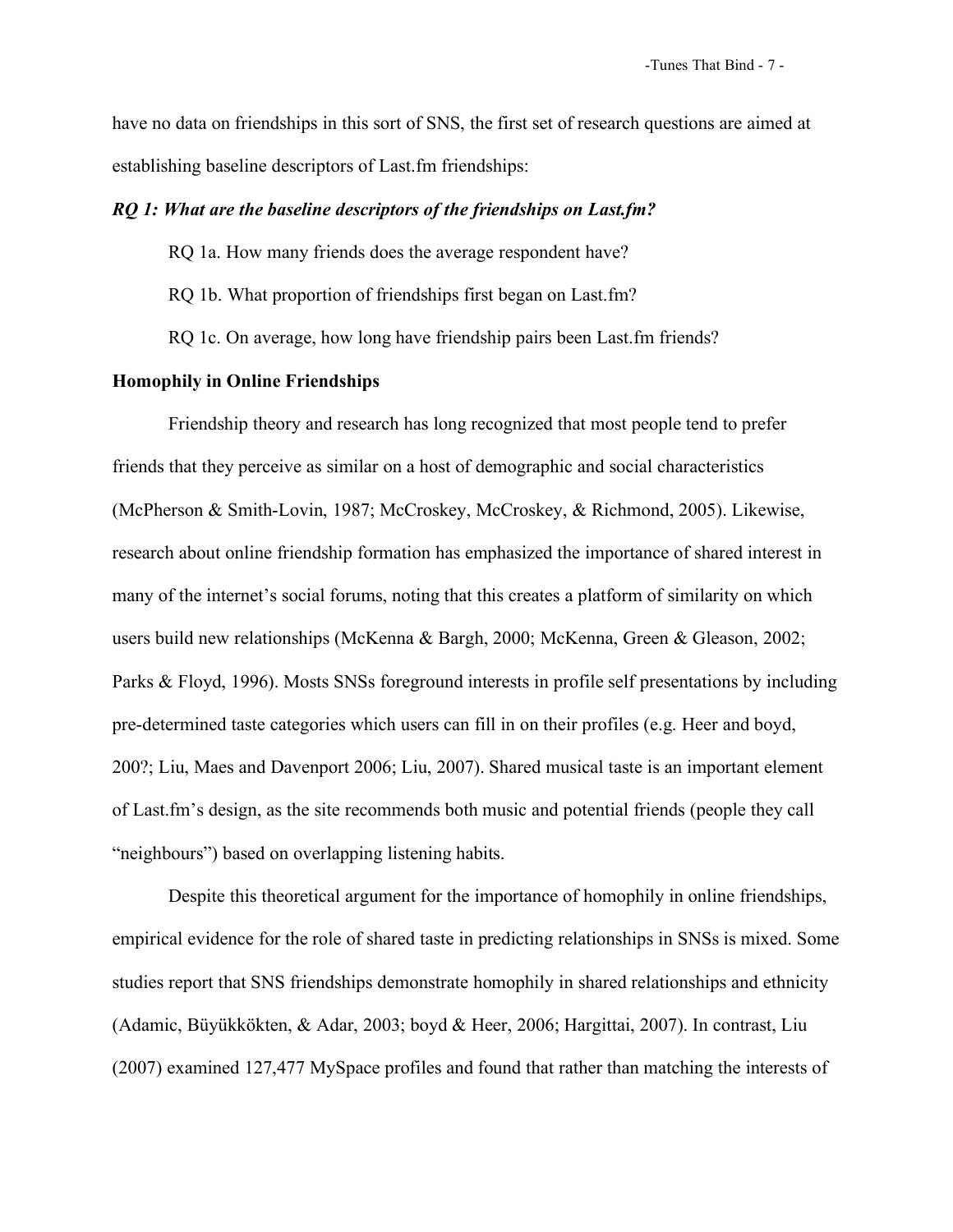have no data on friendships in this sort of SNS, the first set of research questions are aimed at establishing baseline descriptors of Last.fm friendships:

## *RQ 1: What are the baseline descriptors of the friendships on Last.fm?*

- RQ 1a. How many friends does the average respondent have?
- RQ 1b. What proportion of friendships first began on Last.fm?
- RQ 1c. On average, how long have friendship pairs been Last.fm friends?

# **Homophily in Online Friendships**

Friendship theory and research has long recognized that most people tend to prefer friends that they perceive as similar on a host of demographic and social characteristics (McPherson & Smith-Lovin, 1987; McCroskey, McCroskey, & Richmond, 2005). Likewise, research about online friendship formation has emphasized the importance of shared interest in many of the internet's social forums, noting that this creates a platform of similarity on which users build new relationships (McKenna & Bargh, 2000; McKenna, Green & Gleason, 2002; Parks & Floyd, 1996). Mosts SNSs foreground interests in profile self presentations by including pre-determined taste categories which users can fill in on their profiles (e.g. Heer and boyd, 200?; Liu, Maes and Davenport 2006; Liu, 2007). Shared musical taste is an important element of Last.fm's design, as the site recommends both music and potential friends (people they call "neighbours") based on overlapping listening habits.

Despite this theoretical argument for the importance of homophily in online friendships, empirical evidence for the role of shared taste in predicting relationships in SNSs is mixed. Some studies report that SNS friendships demonstrate homophily in shared relationships and ethnicity (Adamic, Büyükkökten, & Adar, 2003; boyd & Heer, 2006; Hargittai, 2007). In contrast, Liu (2007) examined 127,477 MySpace profiles and found that rather than matching the interests of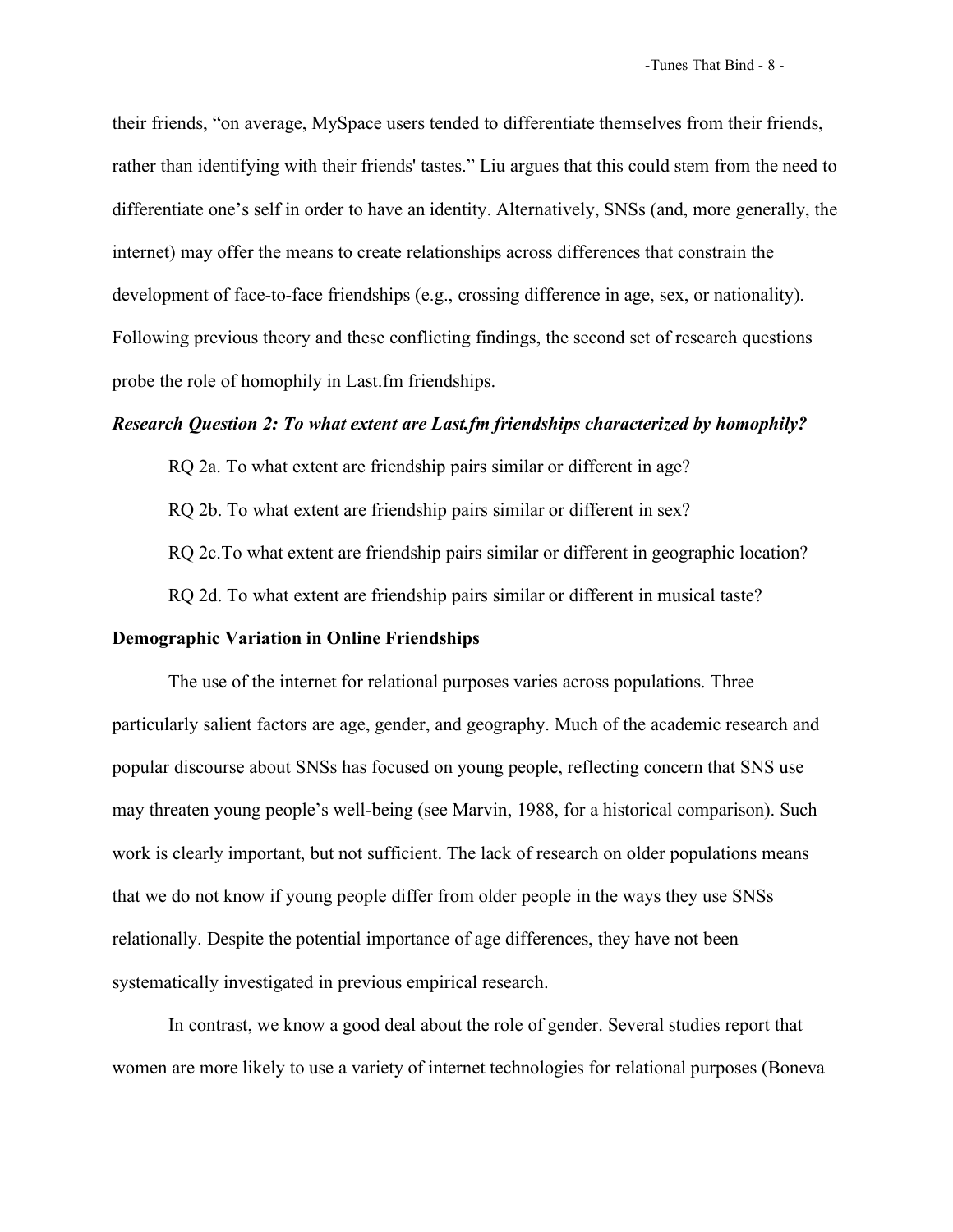their friends, "on average, MySpace users tended to differentiate themselves from their friends, rather than identifying with their friends' tastes." Liu argues that this could stem from the need to differentiate one's self in order to have an identity. Alternatively, SNSs (and, more generally, the internet) may offer the means to create relationships across differences that constrain the development of face-to-face friendships (e.g., crossing difference in age, sex, or nationality). Following previous theory and these conflicting findings, the second set of research questions probe the role of homophily in Last.fm friendships.

# *Research Question 2: To what extent are Last.fm friendships characterized by homophily?*

RQ 2a. To what extent are friendship pairs similar or different in age?

RQ 2b. To what extent are friendship pairs similar or different in sex?

RQ 2c.To what extent are friendship pairs similar or different in geographic location?

RQ 2d. To what extent are friendship pairs similar or different in musical taste?

#### **Demographic Variation in Online Friendships**

The use of the internet for relational purposes varies across populations. Three particularly salient factors are age, gender, and geography. Much of the academic research and popular discourse about SNSs has focused on young people, reflecting concern that SNS use may threaten young people's well-being (see Marvin, 1988, for a historical comparison). Such work is clearly important, but not sufficient. The lack of research on older populations means that we do not know if young people differ from older people in the ways they use SNSs relationally. Despite the potential importance of age differences, they have not been systematically investigated in previous empirical research.

In contrast, we know a good deal about the role of gender. Several studies report that women are more likely to use a variety of internet technologies for relational purposes (Boneva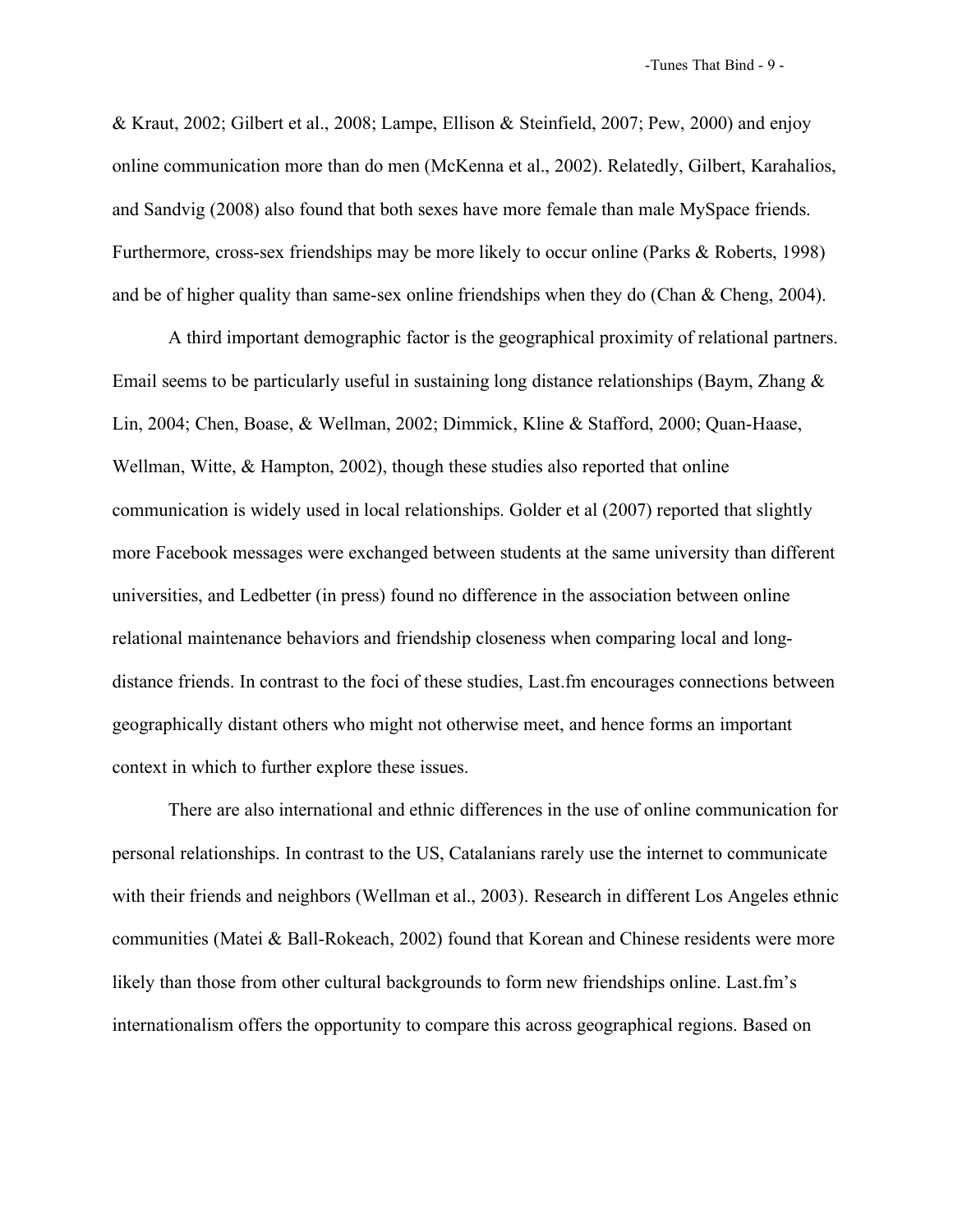& Kraut, 2002; Gilbert et al., 2008; Lampe, Ellison & Steinfield, 2007; Pew, 2000) and enjoy online communication more than do men (McKenna et al., 2002). Relatedly, Gilbert, Karahalios, and Sandvig (2008) also found that both sexes have more female than male MySpace friends. Furthermore, cross-sex friendships may be more likely to occur online (Parks & Roberts, 1998) and be of higher quality than same-sex online friendships when they do (Chan & Cheng, 2004).

A third important demographic factor is the geographical proximity of relational partners. Email seems to be particularly useful in sustaining long distance relationships (Baym, Zhang  $\&$ Lin, 2004; Chen, Boase, & Wellman, 2002; Dimmick, Kline & Stafford, 2000; Quan-Haase, Wellman, Witte, & Hampton, 2002), though these studies also reported that online communication is widely used in local relationships. Golder et al (2007) reported that slightly more Facebook messages were exchanged between students at the same university than different universities, and Ledbetter (in press) found no difference in the association between online relational maintenance behaviors and friendship closeness when comparing local and longdistance friends. In contrast to the foci of these studies, Last.fm encourages connections between geographically distant others who might not otherwise meet, and hence forms an important context in which to further explore these issues.

There are also international and ethnic differences in the use of online communication for personal relationships. In contrast to the US, Catalanians rarely use the internet to communicate with their friends and neighbors (Wellman et al., 2003). Research in different Los Angeles ethnic communities (Matei & Ball-Rokeach, 2002) found that Korean and Chinese residents were more likely than those from other cultural backgrounds to form new friendships online. Last.fm's internationalism offers the opportunity to compare this across geographical regions. Based on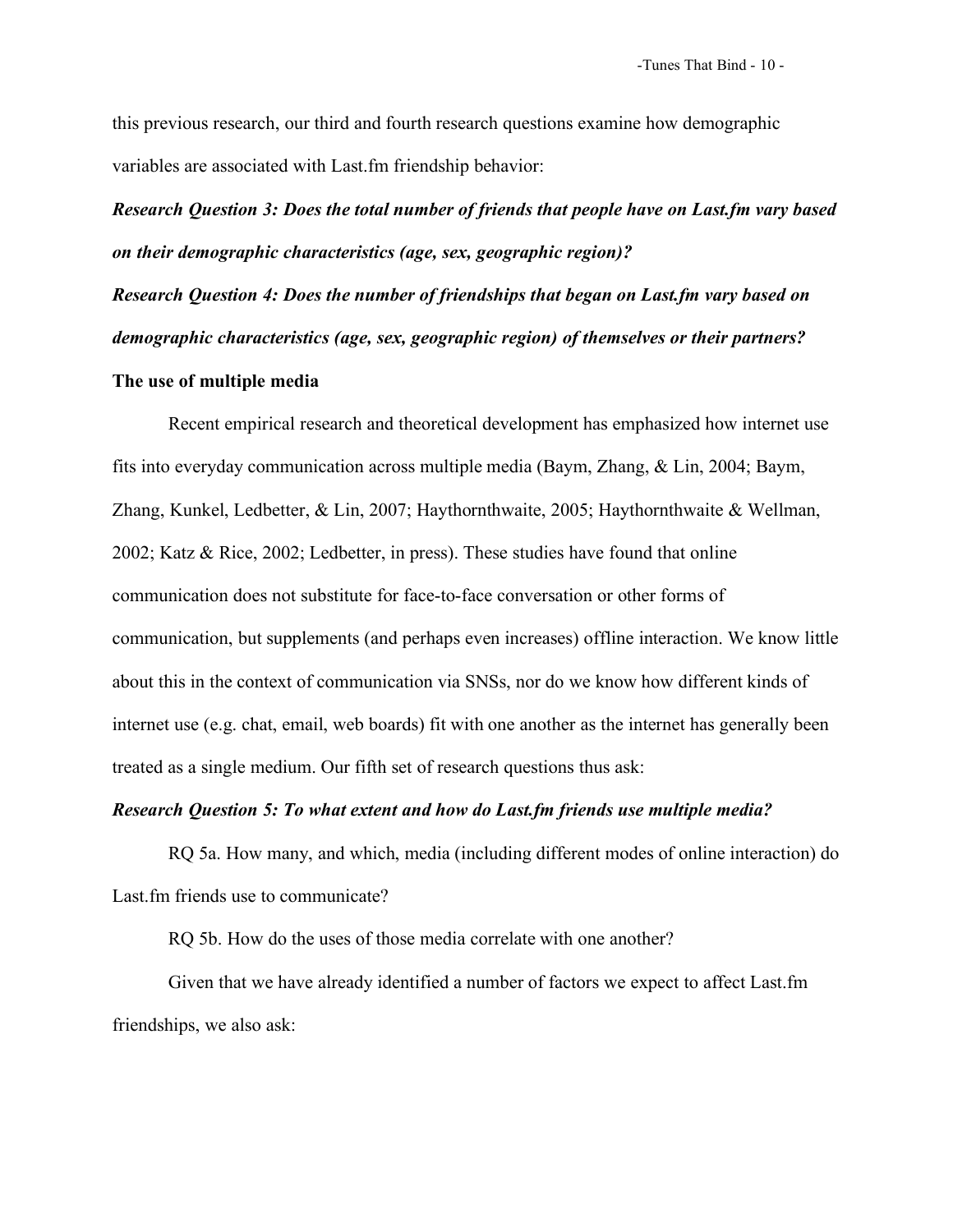this previous research, our third and fourth research questions examine how demographic variables are associated with Last.fm friendship behavior:

*Research Question 3: Does the total number of friends that people have on Last.fm vary based on their demographic characteristics (age, sex, geographic region)?*

*Research Question 4: Does the number of friendships that began on Last.fm vary based on demographic characteristics (age, sex, geographic region) of themselves or their partners?* **The use of multiple media**

Recent empirical research and theoretical development has emphasized how internet use fits into everyday communication across multiple media (Baym, Zhang, & Lin, 2004; Baym, Zhang, Kunkel, Ledbetter, & Lin, 2007; Haythornthwaite, 2005; Haythornthwaite & Wellman, 2002; Katz & Rice, 2002; Ledbetter, in press). These studies have found that online communication does not substitute for face-to-face conversation or other forms of communication, but supplements (and perhaps even increases) offline interaction. We know little about this in the context of communication via SNSs, nor do we know how different kinds of internet use (e.g. chat, email, web boards) fit with one another as the internet has generally been treated as a single medium. Our fifth set of research questions thus ask:

# *Research Question 5: To what extent and how do Last.fm friends use multiple media?*

RQ 5a. How many, and which, media (including different modes of online interaction) do Last.fm friends use to communicate?

RQ 5b. How do the uses of those media correlate with one another?

Given that we have already identified a number of factors we expect to affect Last.fm friendships, we also ask: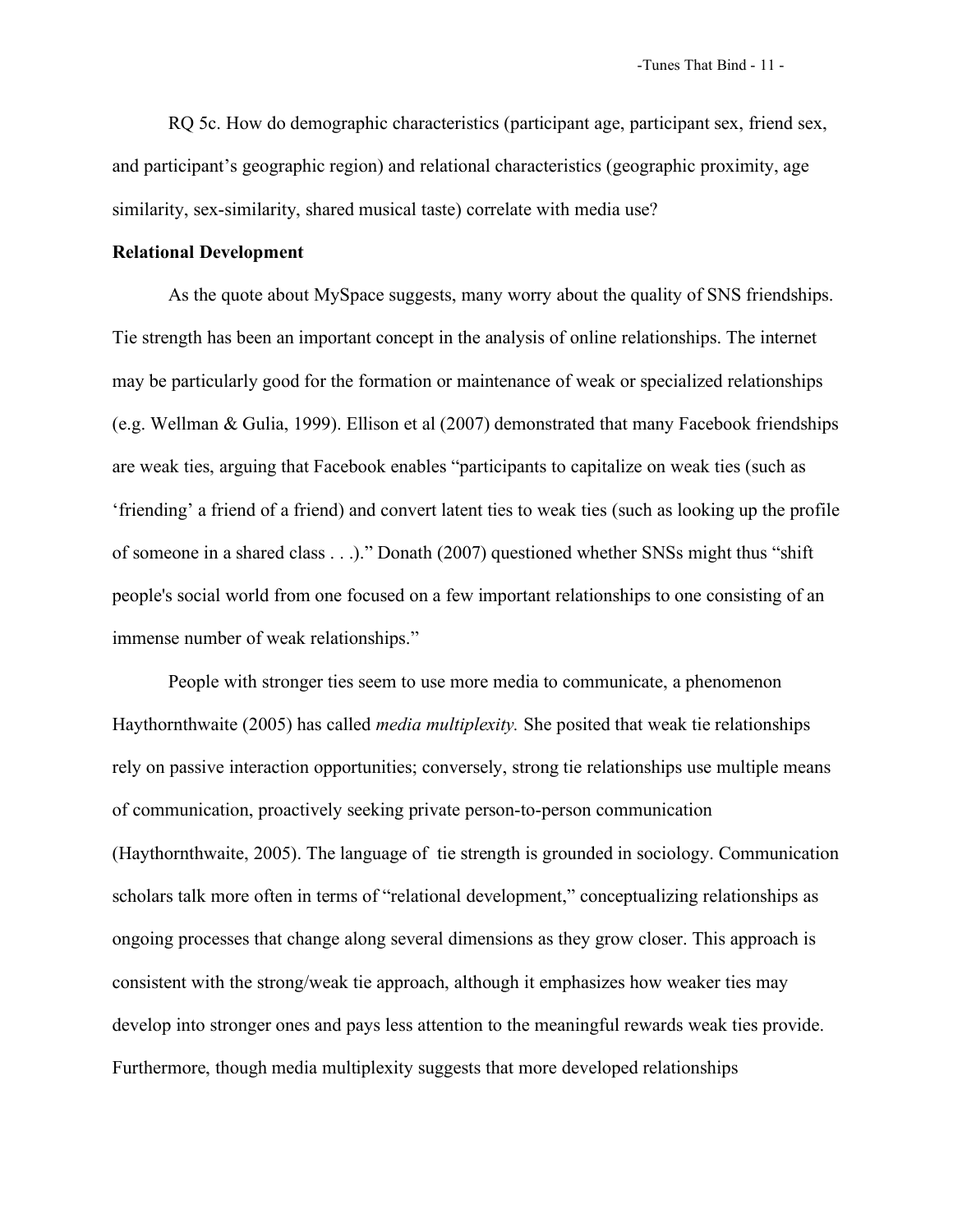RQ 5c. How do demographic characteristics (participant age, participant sex, friend sex, and participant's geographic region) and relational characteristics (geographic proximity, age similarity, sex-similarity, shared musical taste) correlate with media use?

# **Relational Development**

As the quote about MySpace suggests, many worry about the quality of SNS friendships. Tie strength has been an important concept in the analysis of online relationships. The internet may be particularly good for the formation or maintenance of weak or specialized relationships (e.g. Wellman & Gulia, 1999). Ellison et al (2007) demonstrated that many Facebook friendships are weak ties, arguing that Facebook enables "participants to capitalize on weak ties (such as 'friending' a friend of a friend) and convert latent ties to weak ties (such as looking up the profile of someone in a shared class . . .)." Donath (2007) questioned whether SNSs might thus "shift people's social world from one focused on a few important relationships to one consisting of an immense number of weak relationships."

People with stronger ties seem to use more media to communicate, a phenomenon Haythornthwaite (2005) has called *media multiplexity.* She posited that weak tie relationships rely on passive interaction opportunities; conversely, strong tie relationships use multiple means of communication, proactively seeking private person-to-person communication (Haythornthwaite, 2005). The language of tie strength is grounded in sociology. Communication scholars talk more often in terms of "relational development," conceptualizing relationships as ongoing processes that change along several dimensions as they grow closer. This approach is consistent with the strong/weak tie approach, although it emphasizes how weaker ties may develop into stronger ones and pays less attention to the meaningful rewards weak ties provide. Furthermore, though media multiplexity suggests that more developed relationships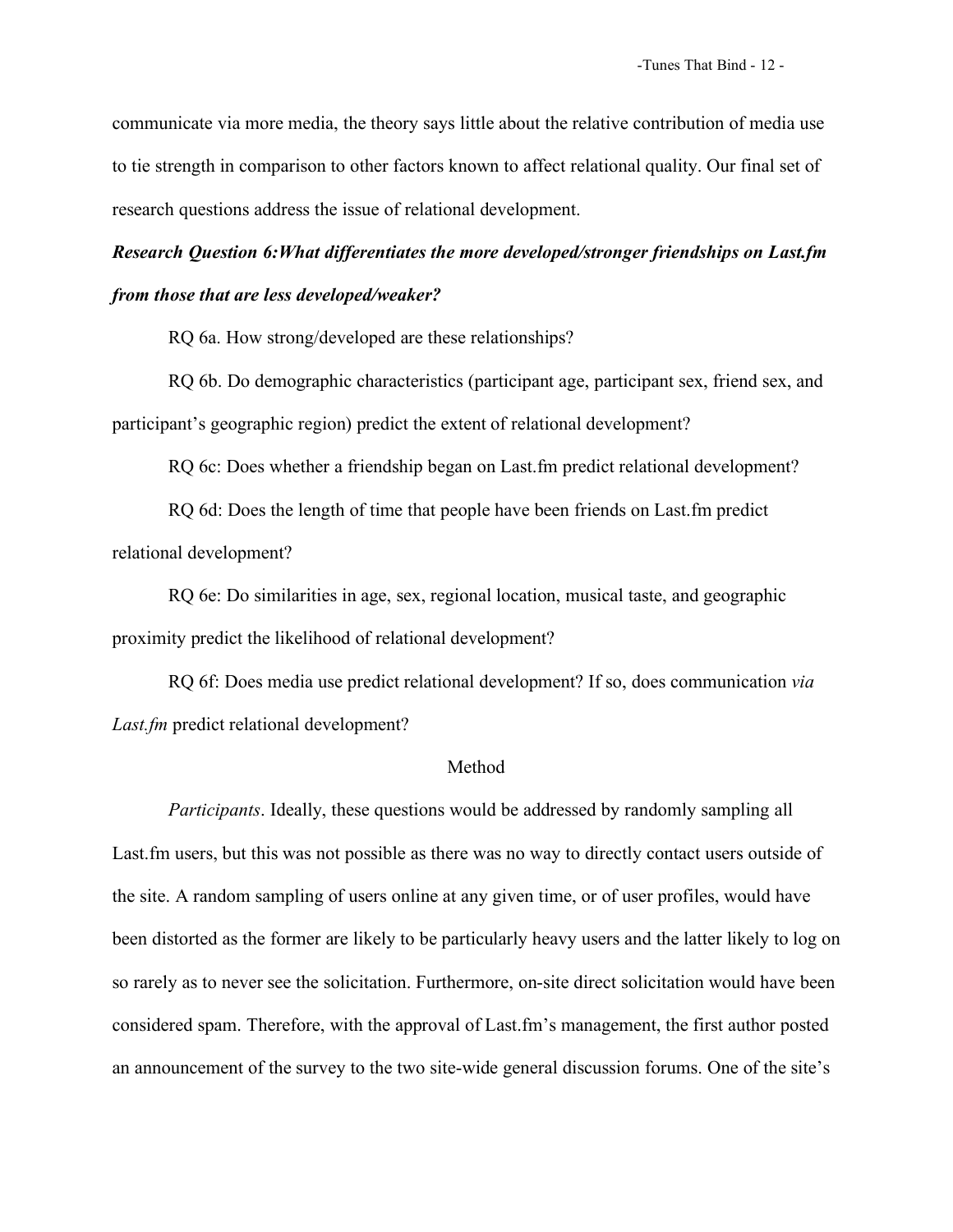communicate via more media, the theory says little about the relative contribution of media use to tie strength in comparison to other factors known to affect relational quality. Our final set of research questions address the issue of relational development.

# *Research Question 6:What differentiates the more developed/stronger friendships on Last.fm from those that are less developed/weaker?*

RQ 6a. How strong/developed are these relationships?

RQ 6b. Do demographic characteristics (participant age, participant sex, friend sex, and participant's geographic region) predict the extent of relational development?

RQ 6c: Does whether a friendship began on Last.fm predict relational development?

RQ 6d: Does the length of time that people have been friends on Last.fm predict relational development?

RQ 6e: Do similarities in age, sex, regional location, musical taste, and geographic proximity predict the likelihood of relational development?

RQ 6f: Does media use predict relational development? If so, does communication *via Last.fm* predict relational development?

#### Method

*Participants*. Ideally, these questions would be addressed by randomly sampling all Last.fm users, but this was not possible as there was no way to directly contact users outside of the site. A random sampling of users online at any given time, or of user profiles, would have been distorted as the former are likely to be particularly heavy users and the latter likely to log on so rarely as to never see the solicitation. Furthermore, on-site direct solicitation would have been considered spam. Therefore, with the approval of Last.fm's management, the first author posted an announcement of the survey to the two site-wide general discussion forums. One of the site's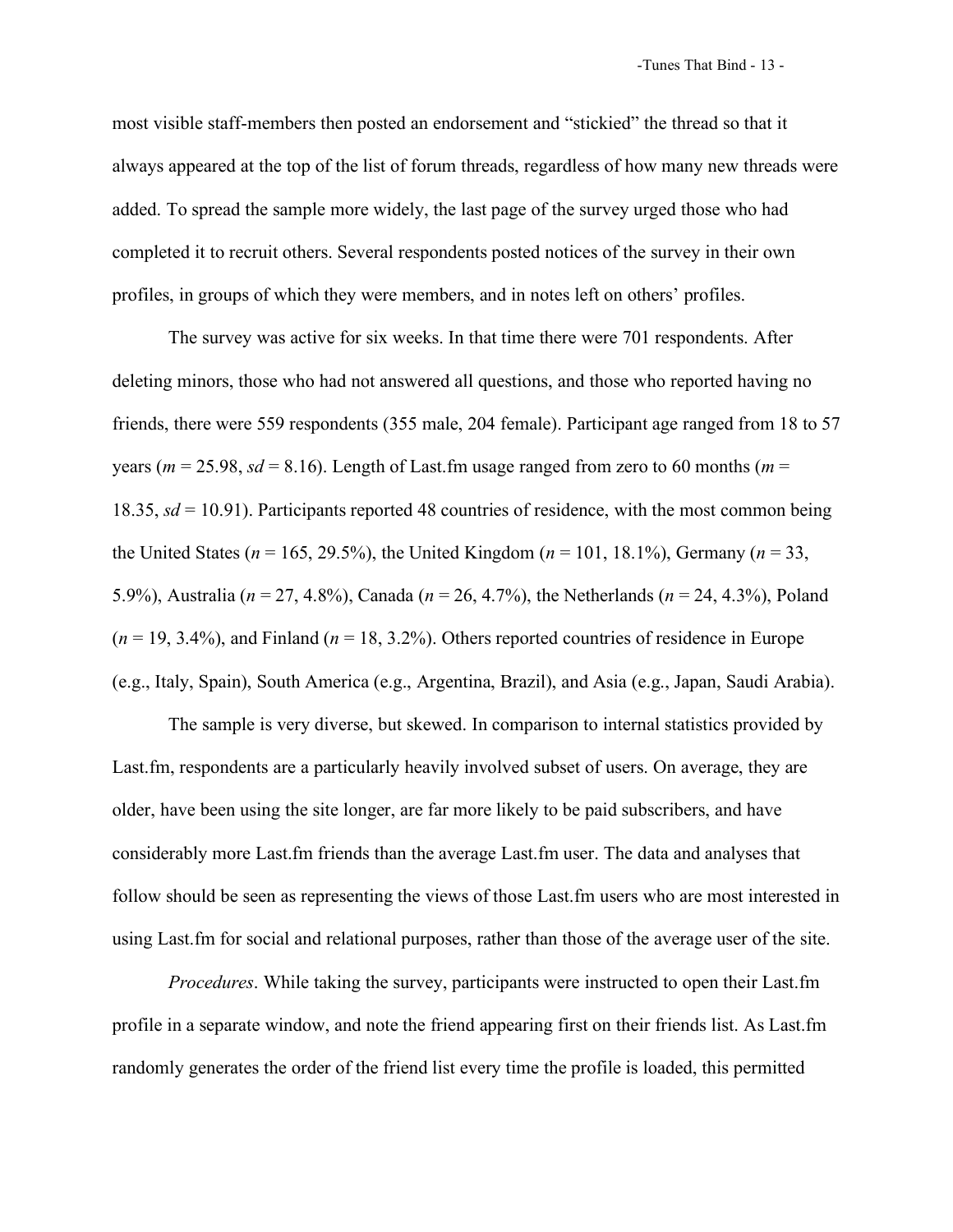most visible staff-members then posted an endorsement and "stickied" the thread so that it always appeared at the top of the list of forum threads, regardless of how many new threads were added. To spread the sample more widely, the last page of the survey urged those who had completed it to recruit others. Several respondents posted notices of the survey in their own profiles, in groups of which they were members, and in notes left on others' profiles.

The survey was active for six weeks. In that time there were 701 respondents. After deleting minors, those who had not answered all questions, and those who reported having no friends, there were 559 respondents (355 male, 204 female). Participant age ranged from 18 to 57 years ( $m = 25.98$ ,  $sd = 8.16$ ). Length of Last.fm usage ranged from zero to 60 months ( $m =$ 18.35, *sd* = 10.91). Participants reported 48 countries of residence, with the most common being the United States (*n* = 165, 29.5%), the United Kingdom (*n* = 101, 18.1%), Germany (*n* = 33, 5.9%), Australia (*n* = 27, 4.8%), Canada (*n* = 26, 4.7%), the Netherlands (*n* = 24, 4.3%), Poland  $(n = 19, 3.4\%)$ , and Finland  $(n = 18, 3.2\%)$ . Others reported countries of residence in Europe (e.g., Italy, Spain), South America (e.g., Argentina, Brazil), and Asia (e.g., Japan, Saudi Arabia).

The sample is very diverse, but skewed. In comparison to internal statistics provided by Last.fm, respondents are a particularly heavily involved subset of users. On average, they are older, have been using the site longer, are far more likely to be paid subscribers, and have considerably more Last.fm friends than the average Last.fm user. The data and analyses that follow should be seen as representing the views of those Last.fm users who are most interested in using Last.fm for social and relational purposes, rather than those of the average user of the site.

*Procedures*. While taking the survey, participants were instructed to open their Last.fm profile in a separate window, and note the friend appearing first on their friends list. As Last.fm randomly generates the order of the friend list every time the profile is loaded, this permitted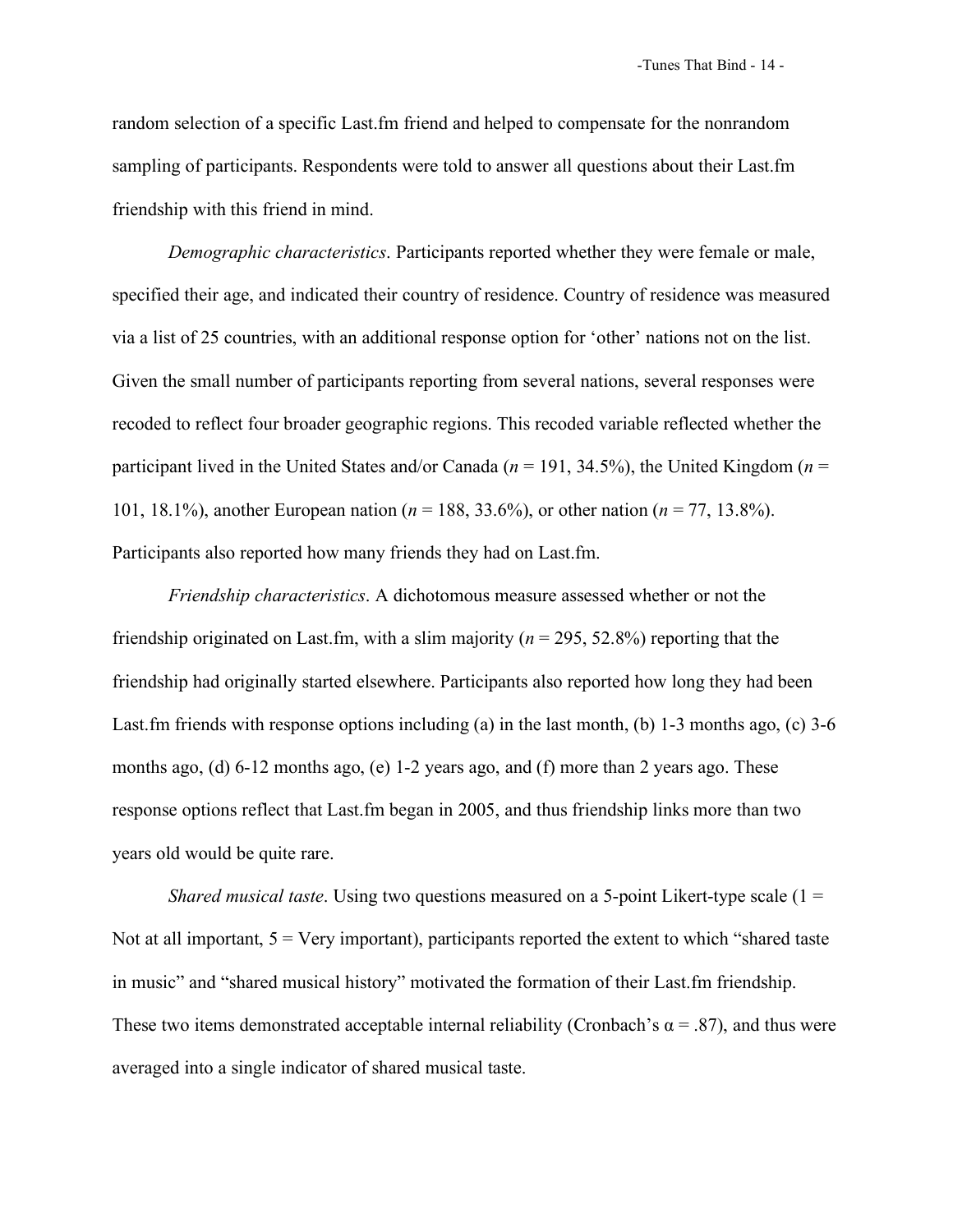random selection of a specific Last.fm friend and helped to compensate for the nonrandom sampling of participants. Respondents were told to answer all questions about their Last.fm friendship with this friend in mind.

*Demographic characteristics*. Participants reported whether they were female or male, specified their age, and indicated their country of residence. Country of residence was measured via a list of 25 countries, with an additional response option for 'other' nations not on the list. Given the small number of participants reporting from several nations, several responses were recoded to reflect four broader geographic regions. This recoded variable reflected whether the participant lived in the United States and/or Canada ( $n = 191, 34.5\%$ ), the United Kingdom ( $n =$ 101, 18.1%), another European nation (*n* = 188, 33.6%), or other nation (*n* = 77, 13.8%). Participants also reported how many friends they had on Last.fm.

*Friendship characteristics*. A dichotomous measure assessed whether or not the friendship originated on Last.fm, with a slim majority (*n* = 295, 52.8%) reporting that the friendship had originally started elsewhere. Participants also reported how long they had been Last.fm friends with response options including (a) in the last month, (b) 1-3 months ago, (c) 3-6 months ago, (d) 6-12 months ago, (e) 1-2 years ago, and (f) more than 2 years ago. These response options reflect that Last.fm began in 2005, and thus friendship links more than two years old would be quite rare.

*Shared musical taste.* Using two questions measured on a 5-point Likert-type scale (1 = Not at all important,  $5 = \text{Very important}$ , participants reported the extent to which "shared taste" in music" and "shared musical history" motivated the formation of their Last.fm friendship. These two items demonstrated acceptable internal reliability (Cronbach's  $\alpha$  = .87), and thus were averaged into a single indicator of shared musical taste.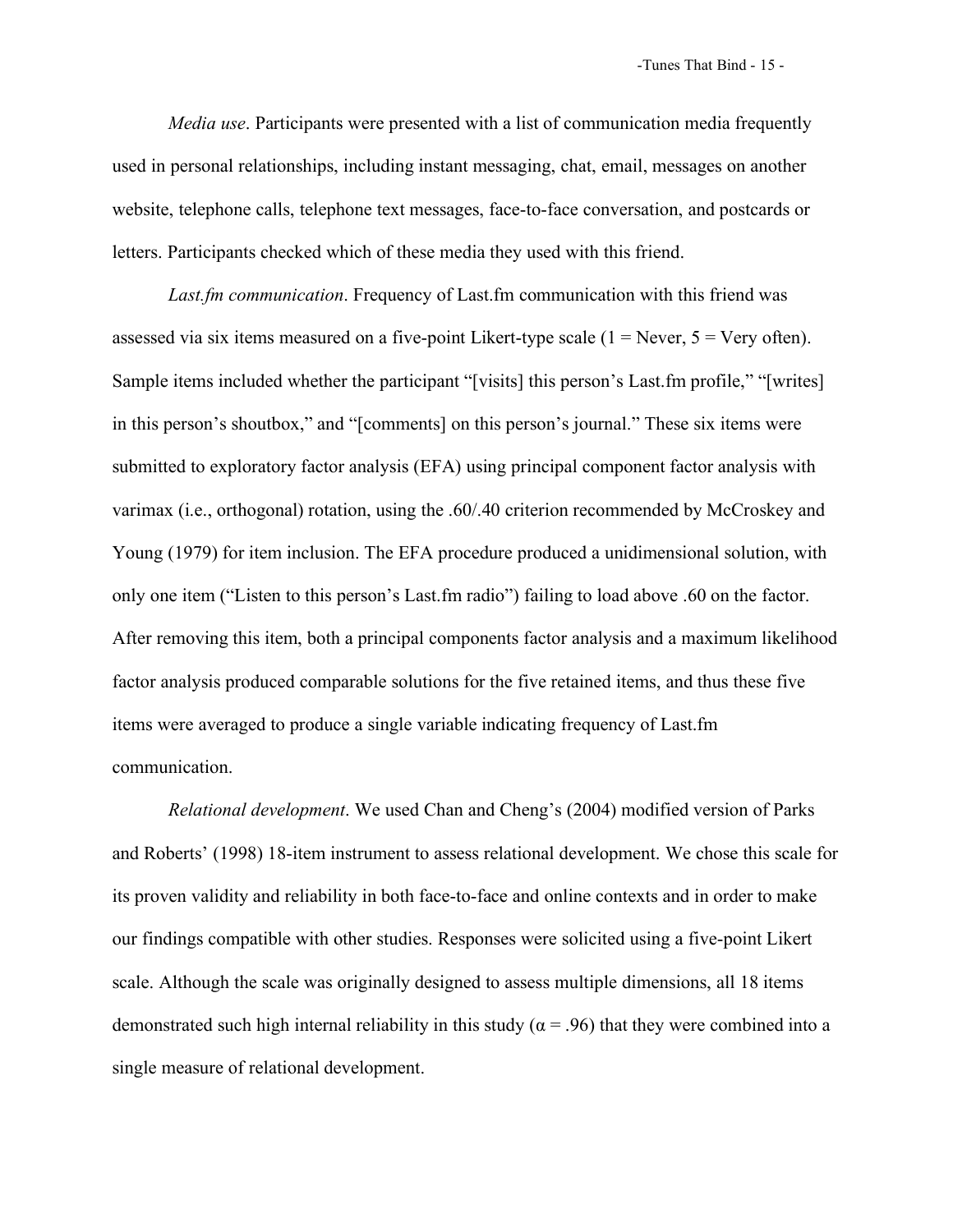*Media use*. Participants were presented with a list of communication media frequently used in personal relationships, including instant messaging, chat, email, messages on another website, telephone calls, telephone text messages, face-to-face conversation, and postcards or letters. Participants checked which of these media they used with this friend.

*Last.fm communication*. Frequency of Last.fm communication with this friend was assessed via six items measured on a five-point Likert-type scale  $(1 =$  Never,  $5 =$  Very often). Sample items included whether the participant "[visits] this person's Last.fm profile," "[writes] in this person's shoutbox," and "[comments] on this person's journal." These six items were submitted to exploratory factor analysis (EFA) using principal component factor analysis with varimax (i.e., orthogonal) rotation, using the .60/.40 criterion recommended by McCroskey and Young (1979) for item inclusion. The EFA procedure produced a unidimensional solution, with only one item ("Listen to this person's Last.fm radio") failing to load above .60 on the factor. After removing this item, both a principal components factor analysis and a maximum likelihood factor analysis produced comparable solutions for the five retained items, and thus these five items were averaged to produce a single variable indicating frequency of Last.fm communication.

*Relational development*. We used Chan and Cheng's (2004) modified version of Parks and Roberts' (1998) 18-item instrument to assess relational development. We chose this scale for its proven validity and reliability in both face-to-face and online contexts and in order to make our findings compatible with other studies. Responses were solicited using a five-point Likert scale. Although the scale was originally designed to assess multiple dimensions, all 18 items demonstrated such high internal reliability in this study ( $\alpha$  = .96) that they were combined into a single measure of relational development.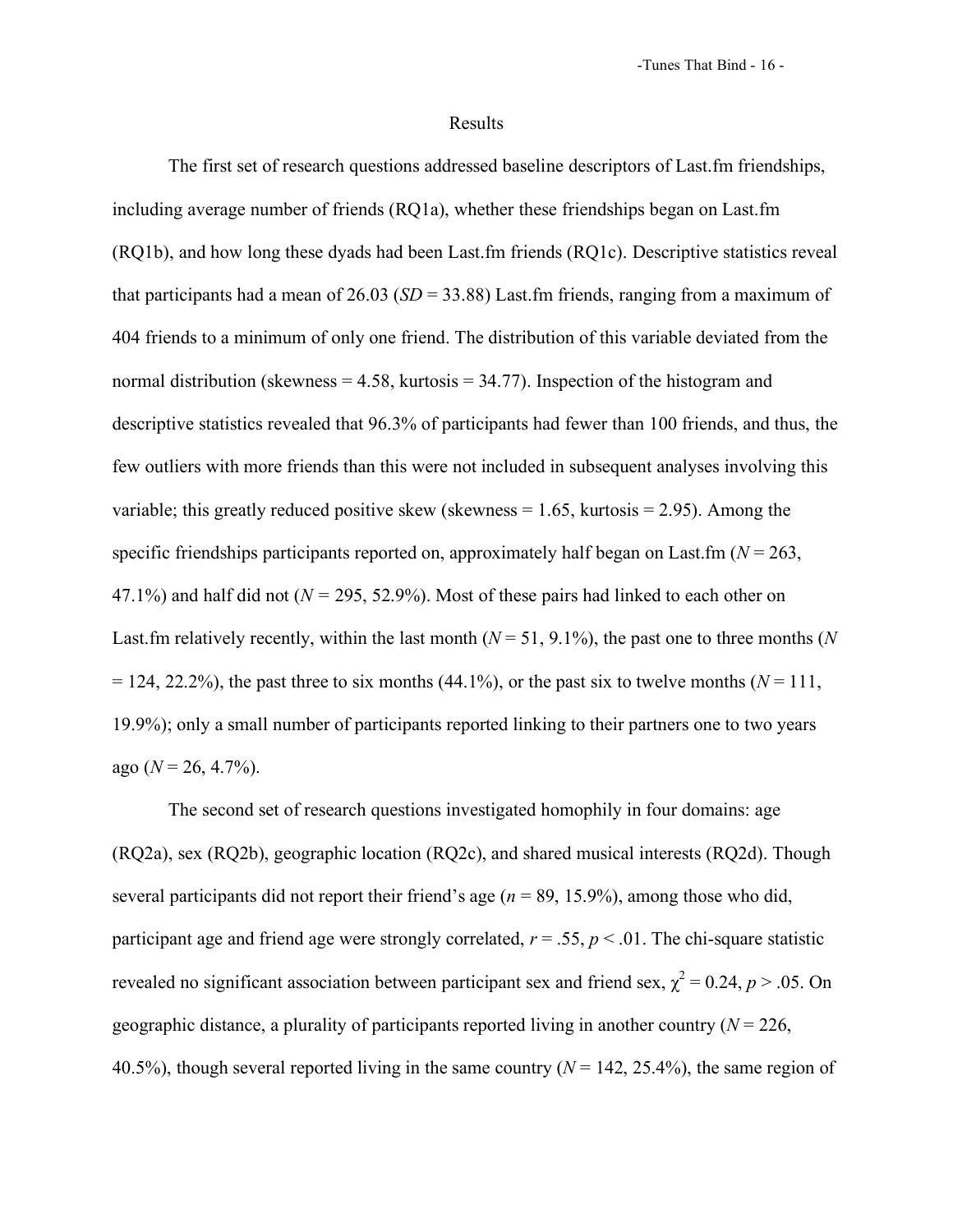#### Results

The first set of research questions addressed baseline descriptors of Last.fm friendships, including average number of friends (RQ1a), whether these friendships began on Last.fm (RQ1b), and how long these dyads had been Last.fm friends (RQ1c). Descriptive statistics reveal that participants had a mean of 26.03 (*SD* = 33.88) Last.fm friends, ranging from a maximum of 404 friends to a minimum of only one friend. The distribution of this variable deviated from the normal distribution (skewness  $= 4.58$ , kurtosis  $= 34.77$ ). Inspection of the histogram and descriptive statistics revealed that 96.3% of participants had fewer than 100 friends, and thus, the few outliers with more friends than this were not included in subsequent analyses involving this variable; this greatly reduced positive skew (skewness  $= 1.65$ , kurtosis  $= 2.95$ ). Among the specific friendships participants reported on, approximately half began on Last.fm ( $N = 263$ , 47.1%) and half did not ( $N = 295, 52.9%$ ). Most of these pairs had linked to each other on Last.fm relatively recently, within the last month  $(N = 51, 9.1\%)$ , the past one to three months (*N*  $= 124, 22.2\%$ ), the past three to six months (44.1%), or the past six to twelve months ( $N = 111$ , 19.9%); only a small number of participants reported linking to their partners one to two years ago  $(N = 26, 4.7\%)$ .

The second set of research questions investigated homophily in four domains: age (RQ2a), sex (RQ2b), geographic location (RQ2c), and shared musical interests (RQ2d). Though several participants did not report their friend's age ( $n = 89, 15.9\%$ ), among those who did, participant age and friend age were strongly correlated,  $r = .55$ ,  $p < .01$ . The chi-square statistic revealed no significant association between participant sex and friend sex,  $\chi^2 = 0.24$ ,  $p > .05$ . On geographic distance, a plurality of participants reported living in another country  $(N = 226)$ , 40.5%), though several reported living in the same country  $(N = 142, 25.4\%)$ , the same region of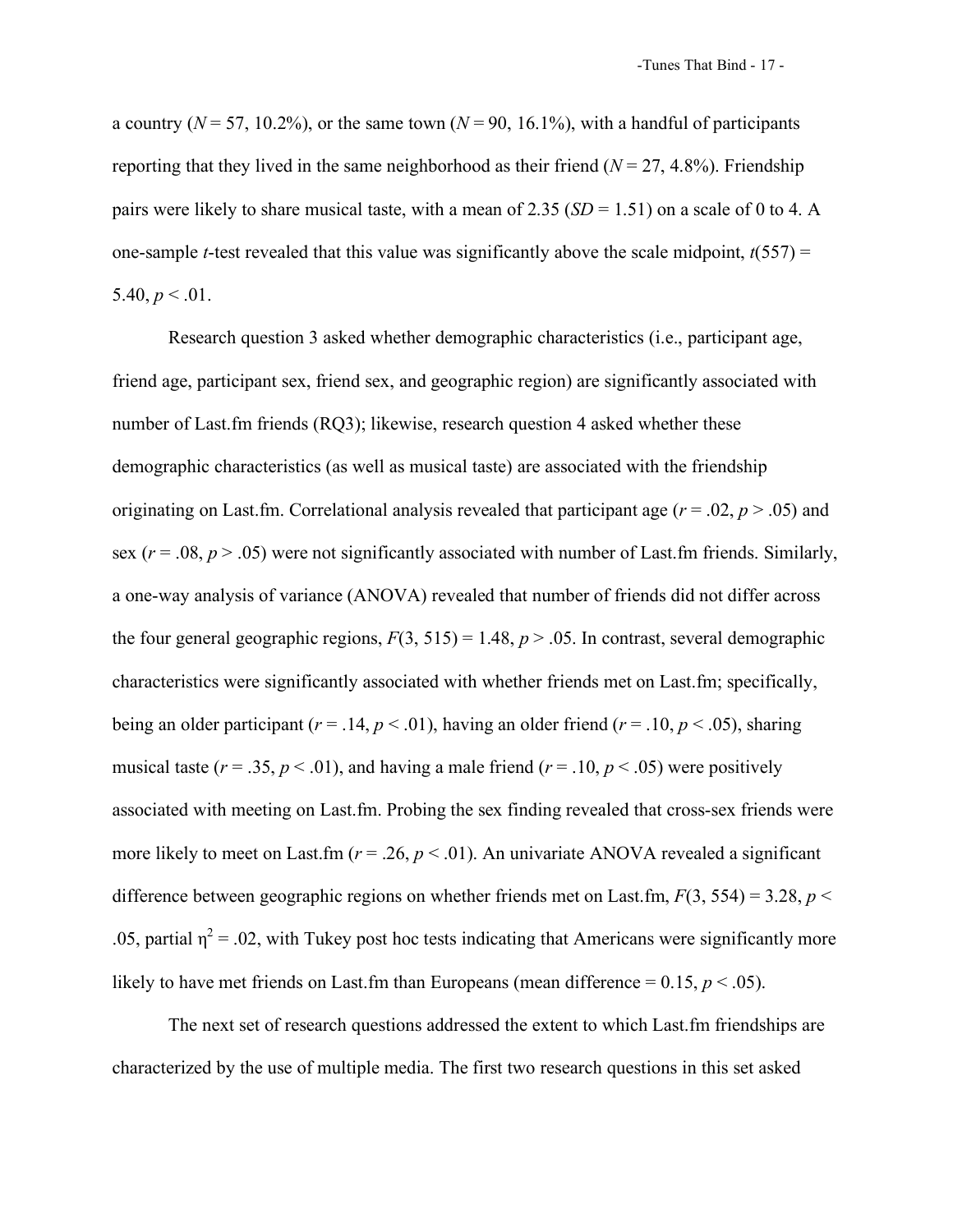a country ( $N = 57, 10.2\%$ ), or the same town ( $N = 90, 16.1\%$ ), with a handful of participants reporting that they lived in the same neighborhood as their friend  $(N = 27, 4.8\%)$ . Friendship pairs were likely to share musical taste, with a mean of 2.35  $(SD = 1.51)$  on a scale of 0 to 4. A one-sample *t*-test revealed that this value was significantly above the scale midpoint,  $t(557) =$ 5.40,  $p < 0.01$ .

Research question 3 asked whether demographic characteristics (i.e., participant age, friend age, participant sex, friend sex, and geographic region) are significantly associated with number of Last.fm friends (RQ3); likewise, research question 4 asked whether these demographic characteristics (as well as musical taste) are associated with the friendship originating on Last.fm. Correlational analysis revealed that participant age (*r* = .02, *p* > .05) and sex ( $r = .08$ ,  $p > .05$ ) were not significantly associated with number of Last.fm friends. Similarly, a one-way analysis of variance (ANOVA) revealed that number of friends did not differ across the four general geographic regions,  $F(3, 515) = 1.48$ ,  $p > .05$ . In contrast, several demographic characteristics were significantly associated with whether friends met on Last.fm; specifically, being an older participant ( $r = .14$ ,  $p < .01$ ), having an older friend ( $r = .10$ ,  $p < .05$ ), sharing musical taste ( $r = .35$ ,  $p < .01$ ), and having a male friend ( $r = .10$ ,  $p < .05$ ) were positively associated with meeting on Last.fm. Probing the sex finding revealed that cross-sex friends were more likely to meet on Last.fm ( $r = 0.26$ ,  $p < 0.01$ ). An univariate ANOVA revealed a significant difference between geographic regions on whether friends met on Last.fm,  $F(3, 554) = 3.28$ ,  $p <$ .05, partial  $\eta^2$  = .02, with Tukey post hoc tests indicating that Americans were significantly more likely to have met friends on Last.fm than Europeans (mean difference  $= 0.15$ ,  $p < .05$ ).

The next set of research questions addressed the extent to which Last.fm friendships are characterized by the use of multiple media. The first two research questions in this set asked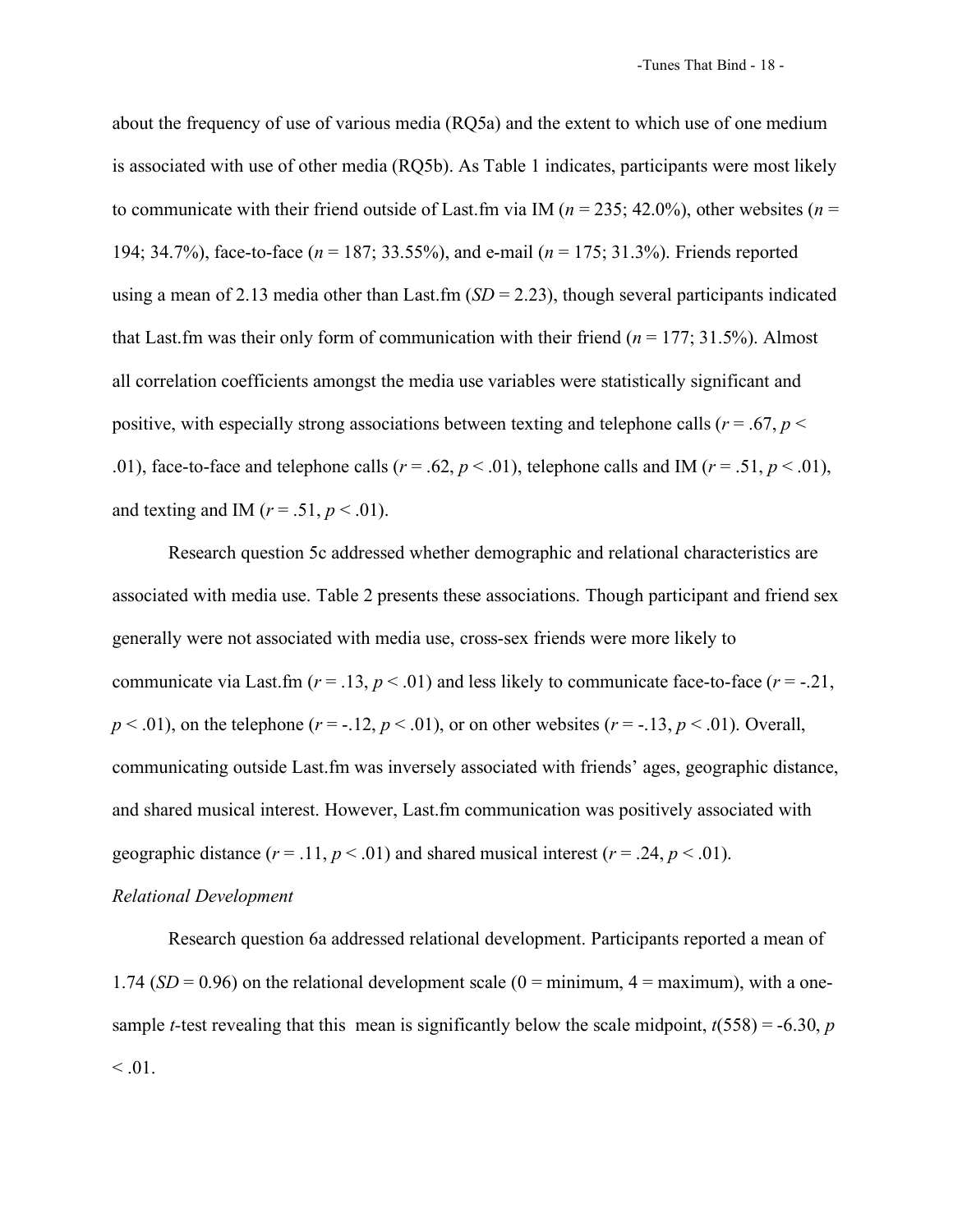about the frequency of use of various media (RQ5a) and the extent to which use of one medium is associated with use of other media (RQ5b). As Table 1 indicates, participants were most likely to communicate with their friend outside of Last.fm via IM ( $n = 235$ ; 42.0%), other websites ( $n =$ 194; 34.7%), face-to-face (*n* = 187; 33.55%), and e-mail (*n* = 175; 31.3%). Friends reported using a mean of 2.13 media other than Last.fm  $(SD = 2.23)$ , though several participants indicated that Last.fm was their only form of communication with their friend  $(n = 177; 31.5%)$ . Almost all correlation coefficients amongst the media use variables were statistically significant and positive, with especially strong associations between texting and telephone calls ( $r = .67$ ,  $p <$ .01), face-to-face and telephone calls ( $r = .62$ ,  $p < .01$ ), telephone calls and IM ( $r = .51$ ,  $p < .01$ ), and texting and IM ( $r = .51$ ,  $p < .01$ ).

Research question 5c addressed whether demographic and relational characteristics are associated with media use. Table 2 presents these associations. Though participant and friend sex generally were not associated with media use, cross-sex friends were more likely to communicate via Last.fm ( $r = .13$ ,  $p < .01$ ) and less likely to communicate face-to-face ( $r = .21$ ,  $p < .01$ ), on the telephone ( $r = -.12$ ,  $p < .01$ ), or on other websites ( $r = -.13$ ,  $p < .01$ ). Overall, communicating outside Last.fm was inversely associated with friends' ages, geographic distance, and shared musical interest. However, Last.fm communication was positively associated with geographic distance  $(r = .11, p < .01)$  and shared musical interest  $(r = .24, p < .01)$ .

# *Relational Development*

Research question 6a addressed relational development. Participants reported a mean of 1.74 ( $SD = 0.96$ ) on the relational development scale ( $0 =$ minimum,  $4 =$ maximum), with a onesample *t*-test revealing that this mean is significantly below the scale midpoint,  $t(558) = -6.30$ , *p*  $\leq .01$ .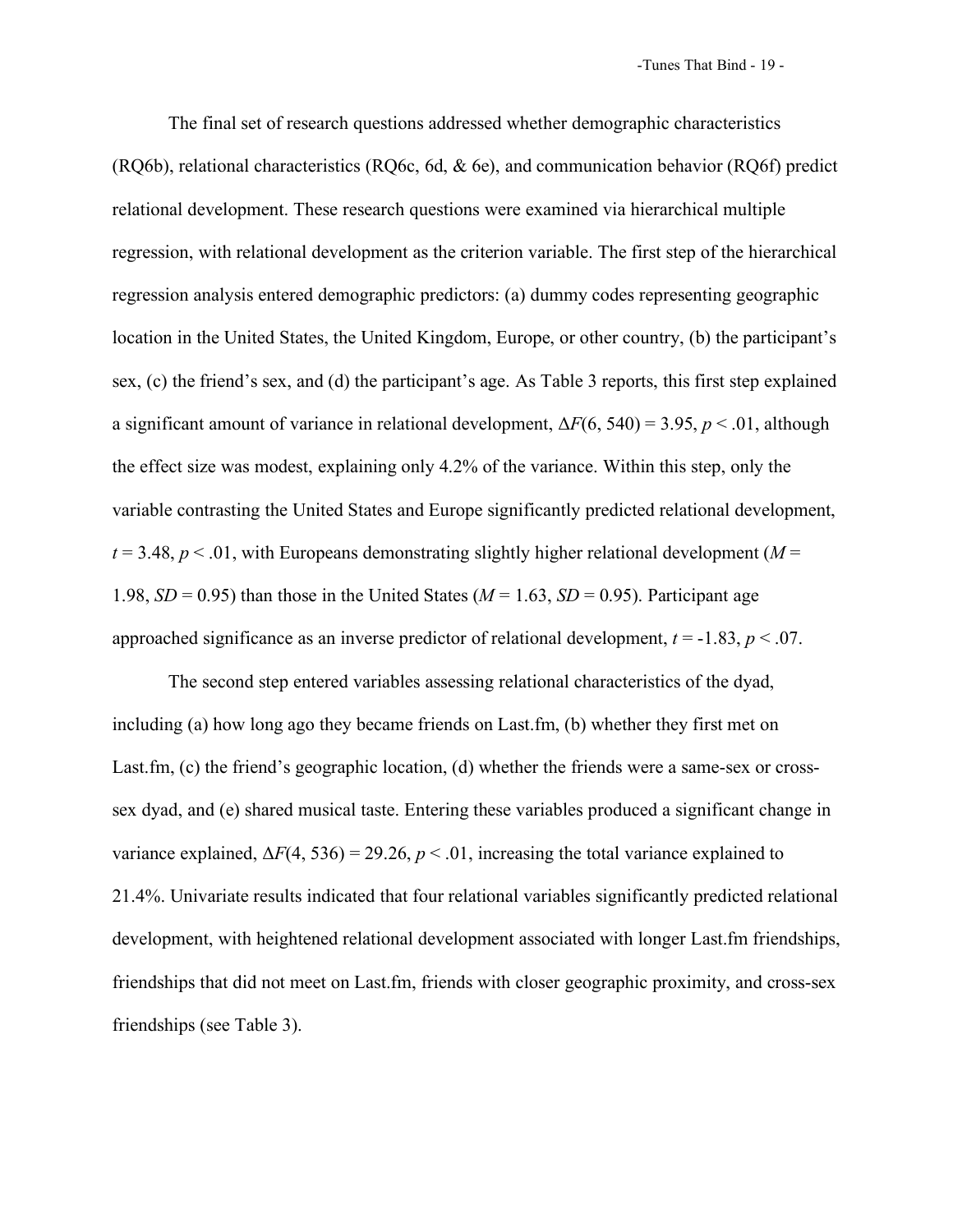The final set of research questions addressed whether demographic characteristics (RQ6b), relational characteristics (RQ6c, 6d, & 6e), and communication behavior (RQ6f) predict relational development. These research questions were examined via hierarchical multiple regression, with relational development as the criterion variable. The first step of the hierarchical regression analysis entered demographic predictors: (a) dummy codes representing geographic location in the United States, the United Kingdom, Europe, or other country, (b) the participant's sex, (c) the friend's sex, and (d) the participant's age. As Table 3 reports, this first step explained a significant amount of variance in relational development, Δ*F*(6, 540) = 3.95, *p* < .01, although the effect size was modest, explaining only 4.2% of the variance. Within this step, only the variable contrasting the United States and Europe significantly predicted relational development,  $t = 3.48$ ,  $p < 0.01$ , with Europeans demonstrating slightly higher relational development (*M* = 1.98,  $SD = 0.95$ ) than those in the United States ( $M = 1.63$ ,  $SD = 0.95$ ). Participant age approached significance as an inverse predictor of relational development,  $t = -1.83$ ,  $p < .07$ .

The second step entered variables assessing relational characteristics of the dyad, including (a) how long ago they became friends on Last.fm, (b) whether they first met on Last.fm, (c) the friend's geographic location, (d) whether the friends were a same-sex or crosssex dyad, and (e) shared musical taste. Entering these variables produced a significant change in variance explained,  $\Delta F(4, 536) = 29.26$ ,  $p < .01$ , increasing the total variance explained to 21.4%. Univariate results indicated that four relational variables significantly predicted relational development, with heightened relational development associated with longer Last.fm friendships, friendships that did not meet on Last.fm, friends with closer geographic proximity, and cross-sex friendships (see Table 3).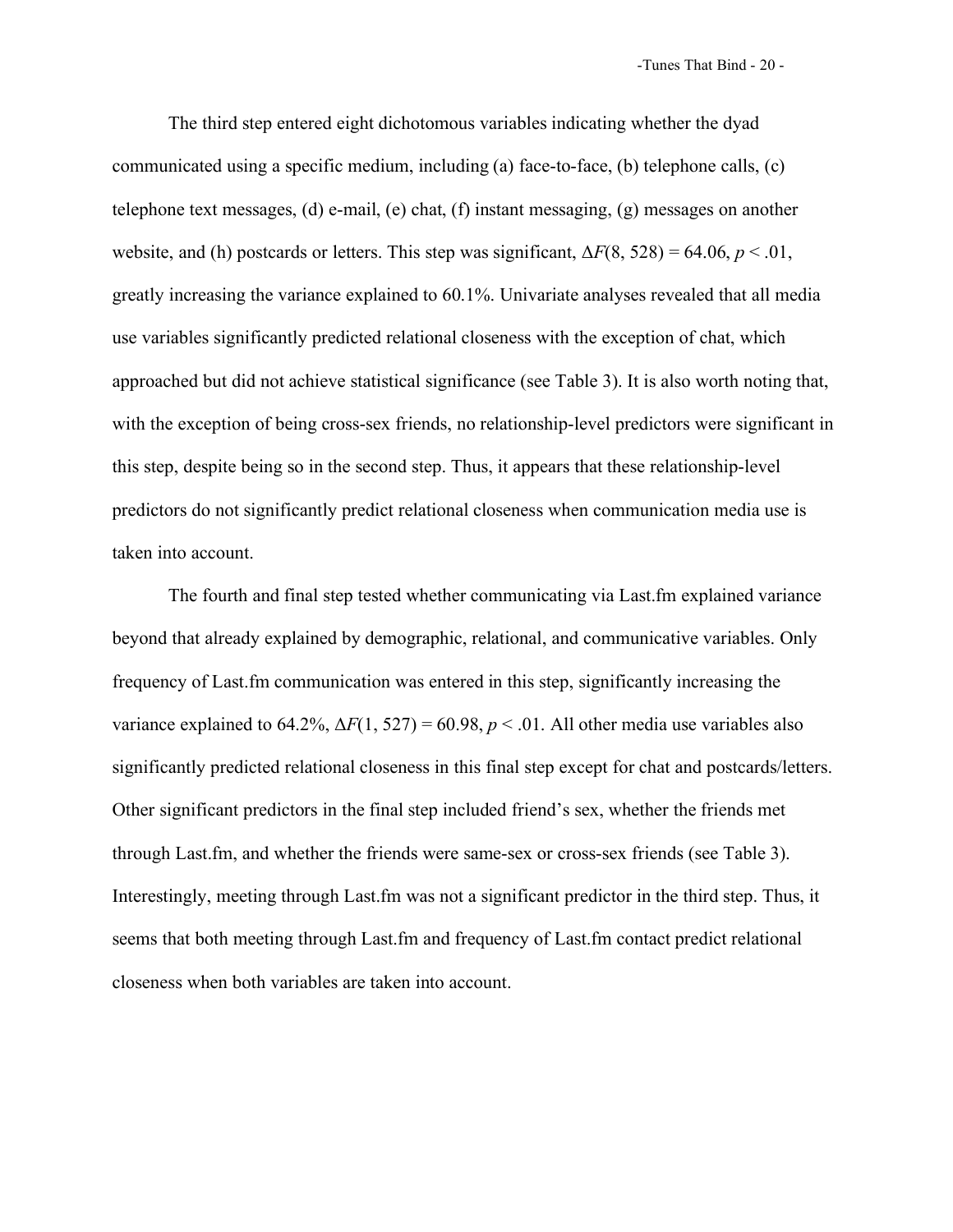-Tunes That Bind - 20 -

The third step entered eight dichotomous variables indicating whether the dyad communicated using a specific medium, including (a) face-to-face, (b) telephone calls, (c) telephone text messages, (d) e-mail, (e) chat, (f) instant messaging, (g) messages on another website, and (h) postcards or letters. This step was significant,  $\Delta F(8, 528) = 64.06$ ,  $p < .01$ , greatly increasing the variance explained to 60.1%. Univariate analyses revealed that all media use variables significantly predicted relational closeness with the exception of chat, which approached but did not achieve statistical significance (see Table 3). It is also worth noting that, with the exception of being cross-sex friends, no relationship-level predictors were significant in this step, despite being so in the second step. Thus, it appears that these relationship-level predictors do not significantly predict relational closeness when communication media use is taken into account.

The fourth and final step tested whether communicating via Last.fm explained variance beyond that already explained by demographic, relational, and communicative variables. Only frequency of Last.fm communication was entered in this step, significantly increasing the variance explained to 64.2%,  $\Delta F(1, 527) = 60.98$ ,  $p < .01$ . All other media use variables also significantly predicted relational closeness in this final step except for chat and postcards/letters. Other significant predictors in the final step included friend's sex, whether the friends met through Last.fm, and whether the friends were same-sex or cross-sex friends (see Table 3). Interestingly, meeting through Last.fm was not a significant predictor in the third step. Thus, it seems that both meeting through Last.fm and frequency of Last.fm contact predict relational closeness when both variables are taken into account.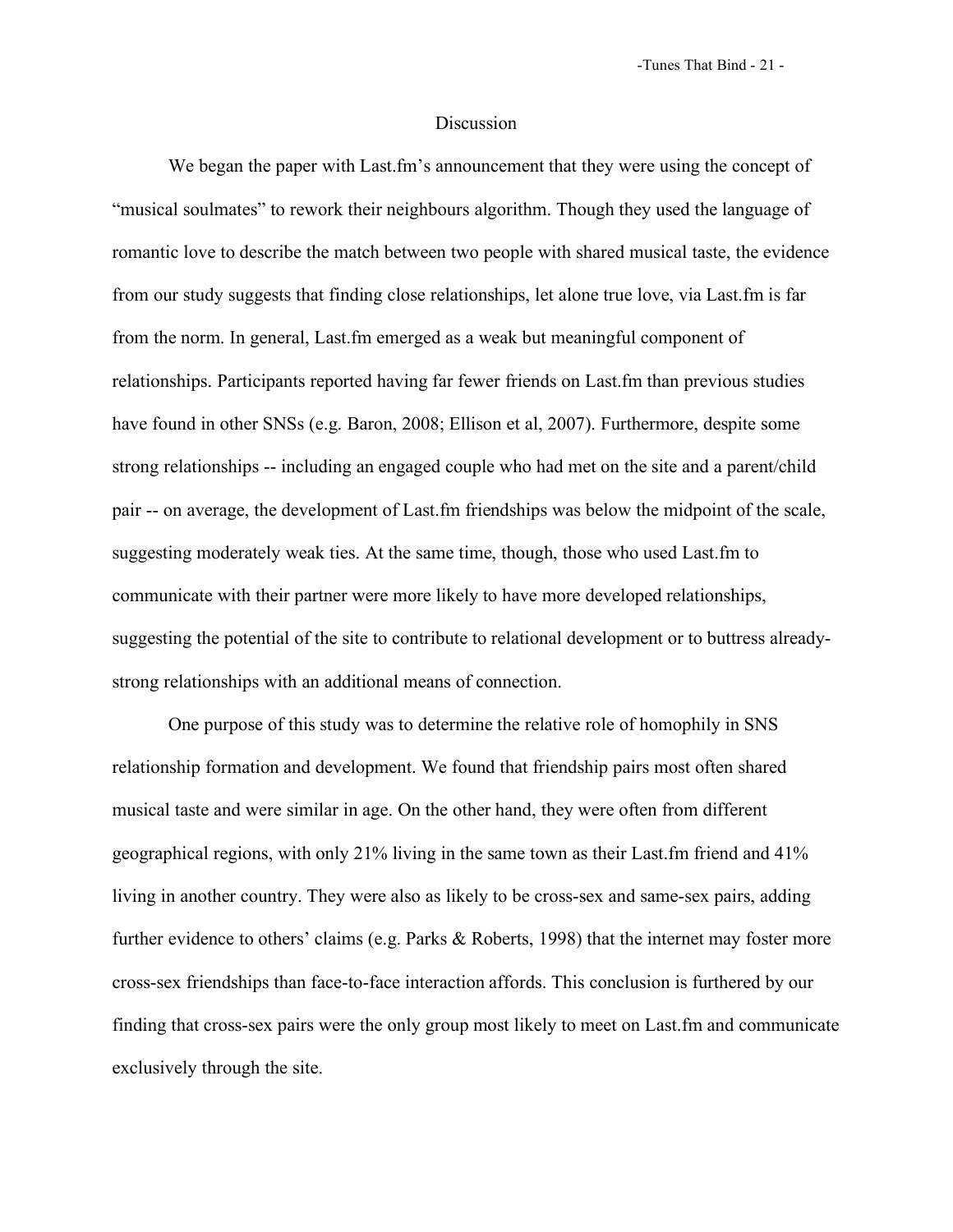## Discussion

We began the paper with Last.fm's announcement that they were using the concept of "musical soulmates" to rework their neighbours algorithm. Though they used the language of romantic love to describe the match between two people with shared musical taste, the evidence from our study suggests that finding close relationships, let alone true love, via Last.fm is far from the norm. In general, Last.fm emerged as a weak but meaningful component of relationships. Participants reported having far fewer friends on Last.fm than previous studies have found in other SNSs (e.g. Baron, 2008; Ellison et al, 2007). Furthermore, despite some strong relationships -- including an engaged couple who had met on the site and a parent/child pair -- on average, the development of Last.fm friendships was below the midpoint of the scale, suggesting moderately weak ties. At the same time, though, those who used Last.fm to communicate with their partner were more likely to have more developed relationships, suggesting the potential of the site to contribute to relational development or to buttress alreadystrong relationships with an additional means of connection.

One purpose of this study was to determine the relative role of homophily in SNS relationship formation and development. We found that friendship pairs most often shared musical taste and were similar in age. On the other hand, they were often from different geographical regions, with only 21% living in the same town as their Last.fm friend and 41% living in another country. They were also as likely to be cross-sex and same-sex pairs, adding further evidence to others' claims (e.g. Parks & Roberts, 1998) that the internet may foster more cross-sex friendships than face-to-face interaction affords. This conclusion is furthered by our finding that cross-sex pairs were the only group most likely to meet on Last.fm and communicate exclusively through the site.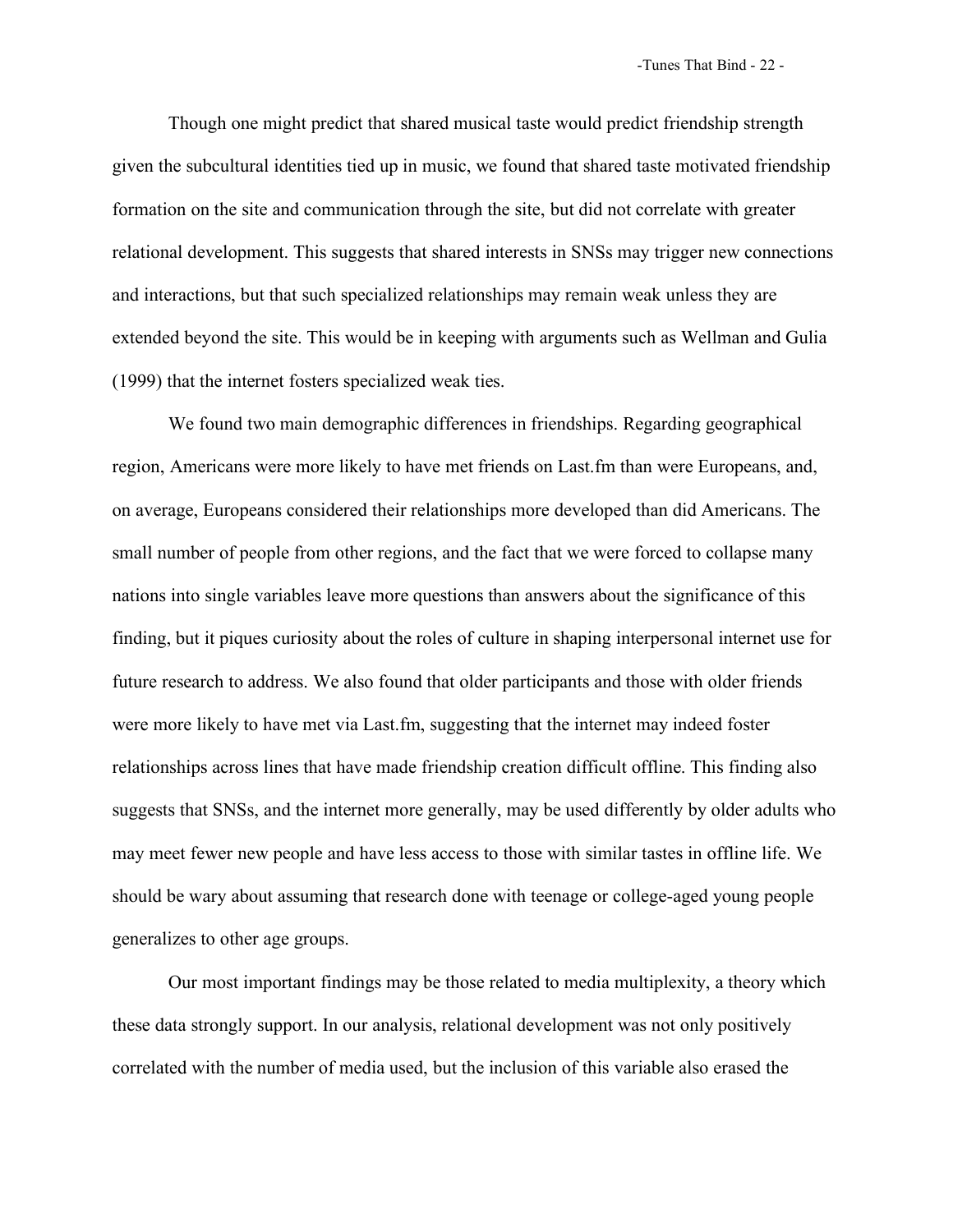Though one might predict that shared musical taste would predict friendship strength given the subcultural identities tied up in music, we found that shared taste motivated friendship formation on the site and communication through the site, but did not correlate with greater relational development. This suggests that shared interests in SNSs may trigger new connections and interactions, but that such specialized relationships may remain weak unless they are extended beyond the site. This would be in keeping with arguments such as Wellman and Gulia (1999) that the internet fosters specialized weak ties.

We found two main demographic differences in friendships. Regarding geographical region, Americans were more likely to have met friends on Last.fm than were Europeans, and, on average, Europeans considered their relationships more developed than did Americans. The small number of people from other regions, and the fact that we were forced to collapse many nations into single variables leave more questions than answers about the significance of this finding, but it piques curiosity about the roles of culture in shaping interpersonal internet use for future research to address. We also found that older participants and those with older friends were more likely to have met via Last.fm, suggesting that the internet may indeed foster relationships across lines that have made friendship creation difficult offline. This finding also suggests that SNSs, and the internet more generally, may be used differently by older adults who may meet fewer new people and have less access to those with similar tastes in offline life. We should be wary about assuming that research done with teenage or college-aged young people generalizes to other age groups.

Our most important findings may be those related to media multiplexity, a theory which these data strongly support. In our analysis, relational development was not only positively correlated with the number of media used, but the inclusion of this variable also erased the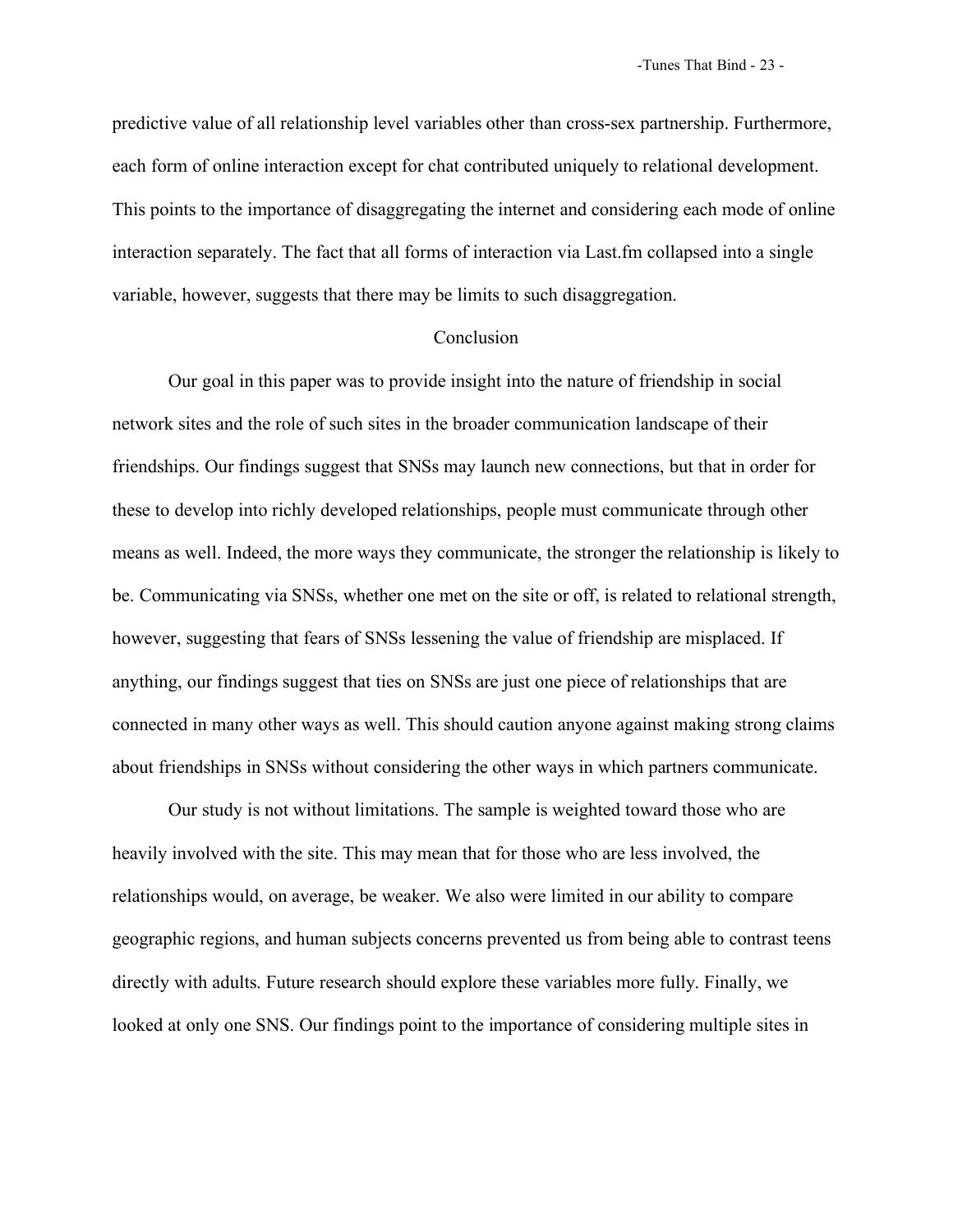predictive value of all relationship level variables other than cross-sex partnership. Furthermore, each form of online interaction except for chat contributed uniquely to relational development. This points to the importance of disaggregating the internet and considering each mode of online interaction separately. The fact that all forms of interaction via Last.fm collapsed into a single variable, however, suggests that there may be limits to such disaggregation.

## Conclusion

Our goal in this paper was to provide insight into the nature of friendship in social network sites and the role of such sites in the broader communication landscape of their friendships. Our findings suggest that SNSs may launch new connections, but that in order for these to develop into richly developed relationships, people must communicate through other means as well. Indeed, the more ways they communicate, the stronger the relationship is likely to be. Communicating via SNSs, whether one met on the site or off, is related to relational strength, however, suggesting that fears of SNSs lessening the value of friendship are misplaced. If anything, our findings suggest that ties on SNSs are just one piece of relationships that are connected in many other ways as well. This should caution anyone against making strong claims about friendships in SNSs without considering the other ways in which partners communicate.

Our study is not without limitations. The sample is weighted toward those who are heavily involved with the site. This may mean that for those who are less involved, the relationships would, on average, be weaker. We also were limited in our ability to compare geographic regions, and human subjects concerns prevented us from being able to contrast teens directly with adults. Future research should explore these variables more fully. Finally, we looked at only one SNS. Our findings point to the importance of considering multiple sites in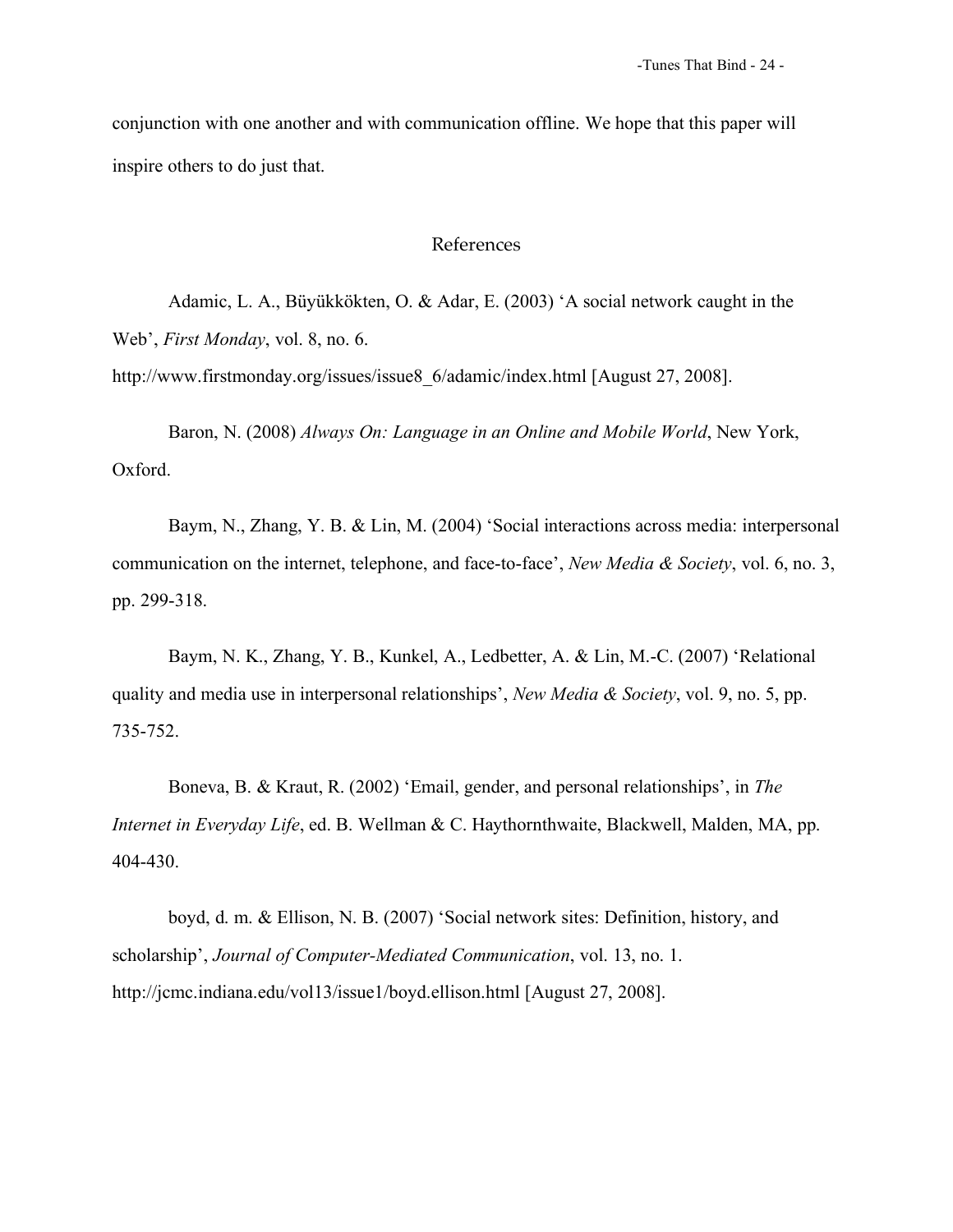conjunction with one another and with communication offline. We hope that this paper will inspire others to do just that.

# References

Adamic, L. A., Büyükkökten, O. & Adar, E. (2003) 'A social network caught in the Web', *First Monday*, vol. 8, no. 6.

http://www.firstmonday.org/issues/issue8\_6/adamic/index.html [August 27, 2008].

Baron, N. (2008) *Always On: Language in an Online and Mobile World*, New York, Oxford.

Baym, N., Zhang, Y. B. & Lin, M. (2004) 'Social interactions across media: interpersonal communication on the internet, telephone, and face-to-face', *New Media & Society*, vol. 6, no. 3, pp. 299-318.

Baym, N. K., Zhang, Y. B., Kunkel, A., Ledbetter, A. & Lin, M.-C. (2007) 'Relational quality and media use in interpersonal relationships', *New Media & Society*, vol. 9, no. 5, pp. 735-752.

Boneva, B. & Kraut, R. (2002) 'Email, gender, and personal relationships', in *The Internet in Everyday Life*, ed. B. Wellman & C. Haythornthwaite, Blackwell, Malden, MA, pp. 404-430.

boyd, d. m. & Ellison, N. B. (2007) 'Social network sites: Definition, history, and scholarship', *Journal of Computer-Mediated Communication*, vol. 13, no. 1. http://jcmc.indiana.edu/vol13/issue1/boyd.ellison.html [August 27, 2008].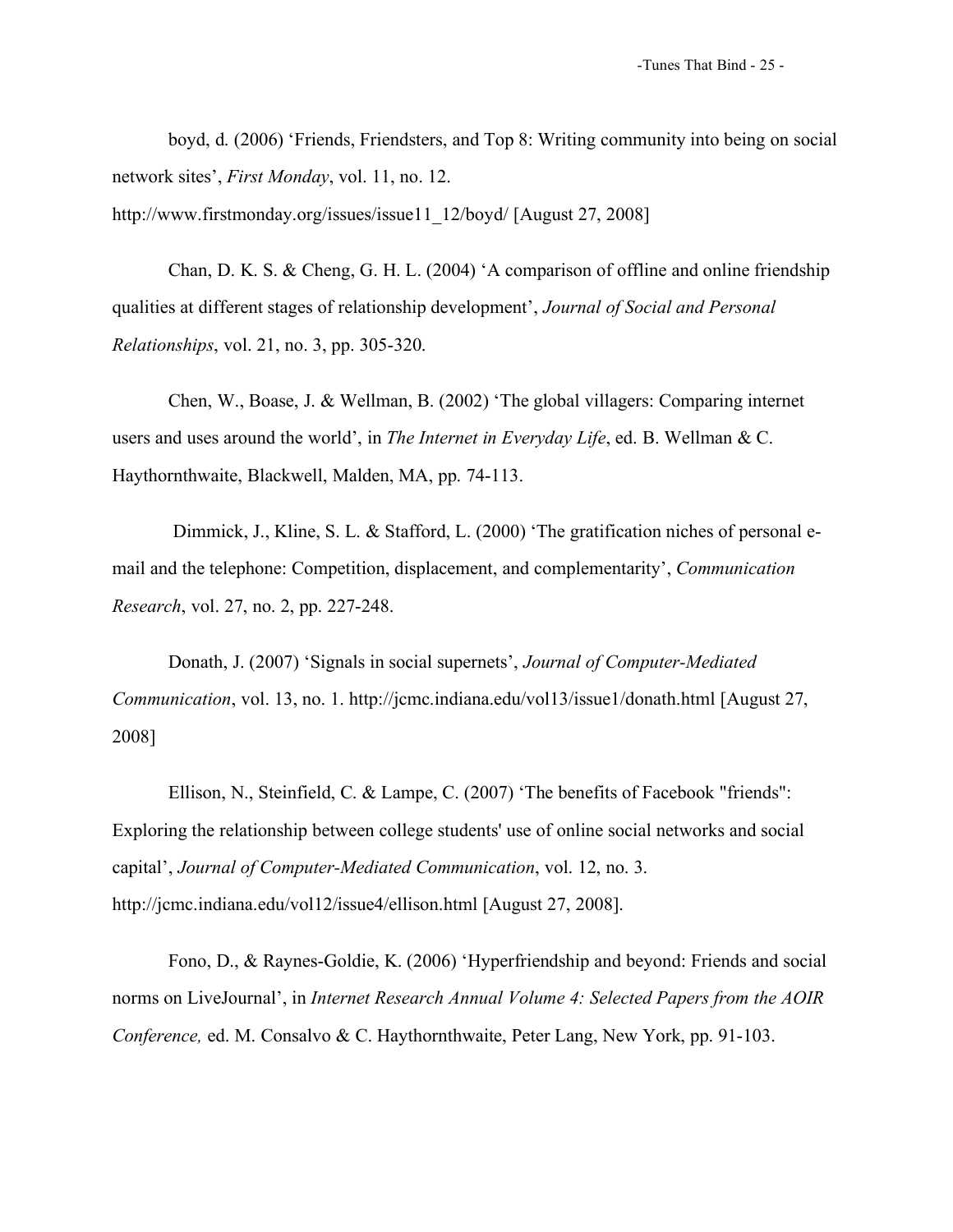boyd, d. (2006) 'Friends, Friendsters, and Top 8: Writing community into being on social network sites', *First Monday*, vol. 11, no. 12.

http://www.firstmonday.org/issues/issue11\_12/boyd/ [August 27, 2008]

Chan, D. K. S. & Cheng, G. H. L. (2004) 'A comparison of offline and online friendship qualities at different stages of relationship development', *Journal of Social and Personal Relationships*, vol. 21, no. 3, pp. 305-320.

Chen, W., Boase, J. & Wellman, B. (2002) 'The global villagers: Comparing internet users and uses around the world', in *The Internet in Everyday Life*, ed. B. Wellman & C. Haythornthwaite, Blackwell, Malden, MA, pp. 74-113.

Dimmick, J., Kline, S. L. & Stafford, L. (2000) 'The gratification niches of personal email and the telephone: Competition, displacement, and complementarity', *Communication Research*, vol. 27, no. 2, pp. 227-248.

Donath, J. (2007) 'Signals in social supernets', *Journal of Computer-Mediated Communication*, vol. 13, no. 1. http://jcmc.indiana.edu/vol13/issue1/donath.html [August 27, 2008]

Ellison, N., Steinfield, C. & Lampe, C. (2007) 'The benefits of Facebook "friends": Exploring the relationship between college students' use of online social networks and social capital', *Journal of Computer-Mediated Communication*, vol. 12, no. 3. http://jcmc.indiana.edu/vol12/issue4/ellison.html [August 27, 2008].

Fono, D., & Raynes-Goldie, K. (2006) 'Hyperfriendship and beyond: Friends and social norms on LiveJournal', in *Internet Research Annual Volume 4: Selected Papers from the AOIR Conference,* ed. M. Consalvo & C. Haythornthwaite, Peter Lang, New York, pp. 91-103.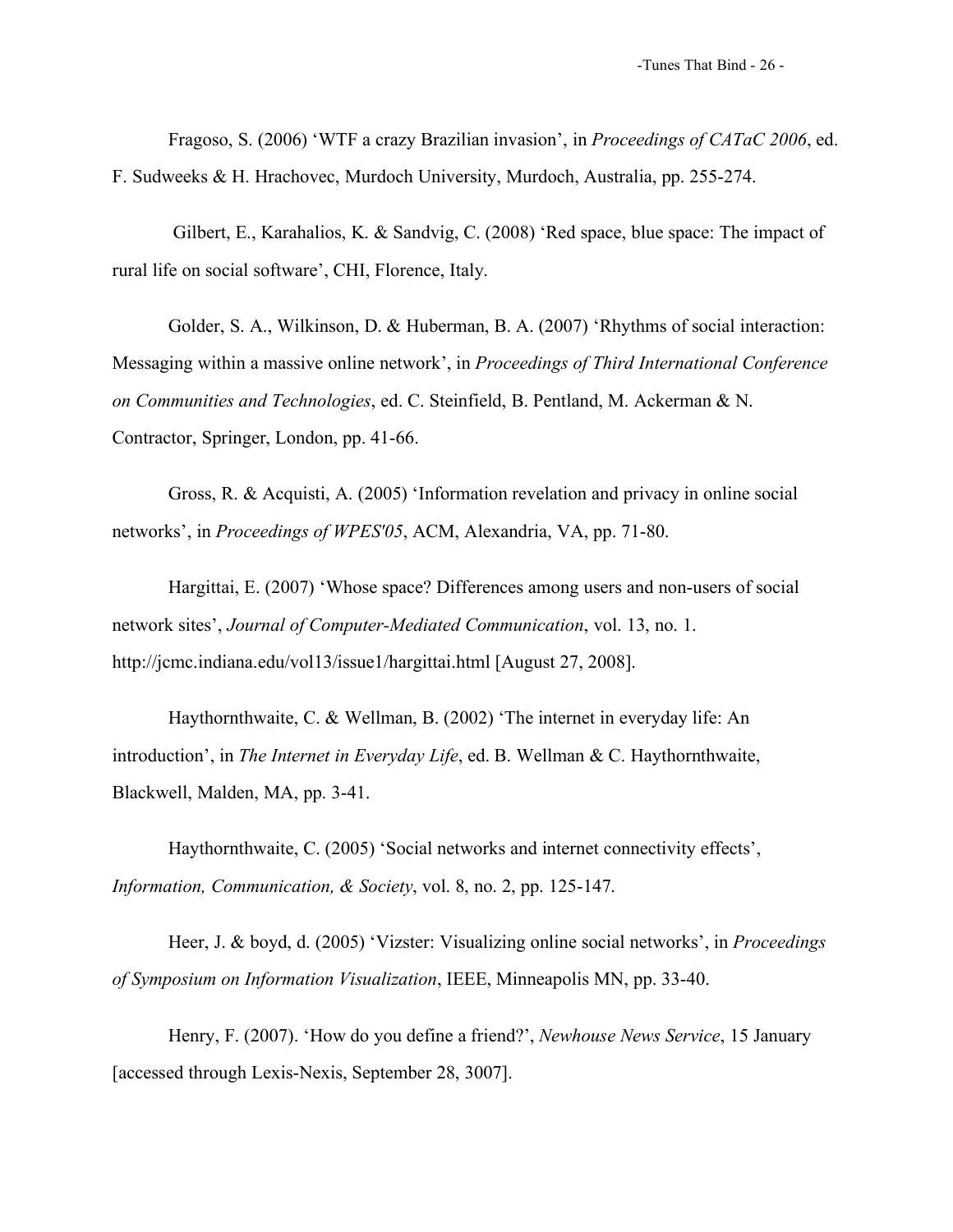Fragoso, S. (2006) 'WTF a crazy Brazilian invasion', in *Proceedings of CATaC 2006*, ed. F. Sudweeks & H. Hrachovec, Murdoch University, Murdoch, Australia, pp. 255-274.

Gilbert, E., Karahalios, K. & Sandvig, C. (2008) 'Red space, blue space: The impact of rural life on social software', CHI, Florence, Italy.

Golder, S. A., Wilkinson, D. & Huberman, B. A. (2007) 'Rhythms of social interaction: Messaging within a massive online network', in *Proceedings of Third International Conference on Communities and Technologies*, ed. C. Steinfield, B. Pentland, M. Ackerman & N. Contractor, Springer, London, pp. 41-66.

Gross, R. & Acquisti, A. (2005) 'Information revelation and privacy in online social networks', in *Proceedings of WPES'05*, ACM, Alexandria, VA, pp. 71-80.

Hargittai, E. (2007) 'Whose space? Differences among users and non-users of social network sites', *Journal of Computer-Mediated Communication*, vol. 13, no. 1. http://jcmc.indiana.edu/vol13/issue1/hargittai.html [August 27, 2008].

Haythornthwaite, C. & Wellman, B. (2002) 'The internet in everyday life: An introduction', in *The Internet in Everyday Life*, ed. B. Wellman & C. Haythornthwaite, Blackwell, Malden, MA, pp. 3-41.

Haythornthwaite, C. (2005) 'Social networks and internet connectivity effects', *Information, Communication, & Society*, vol. 8, no. 2, pp. 125-147.

Heer, J. & boyd, d. (2005) 'Vizster: Visualizing online social networks', in *Proceedings of Symposium on Information Visualization*, IEEE, Minneapolis MN, pp. 33-40.

Henry, F. (2007). 'How do you define a friend?', *Newhouse News Service*, 15 January [accessed through Lexis-Nexis, September 28, 3007].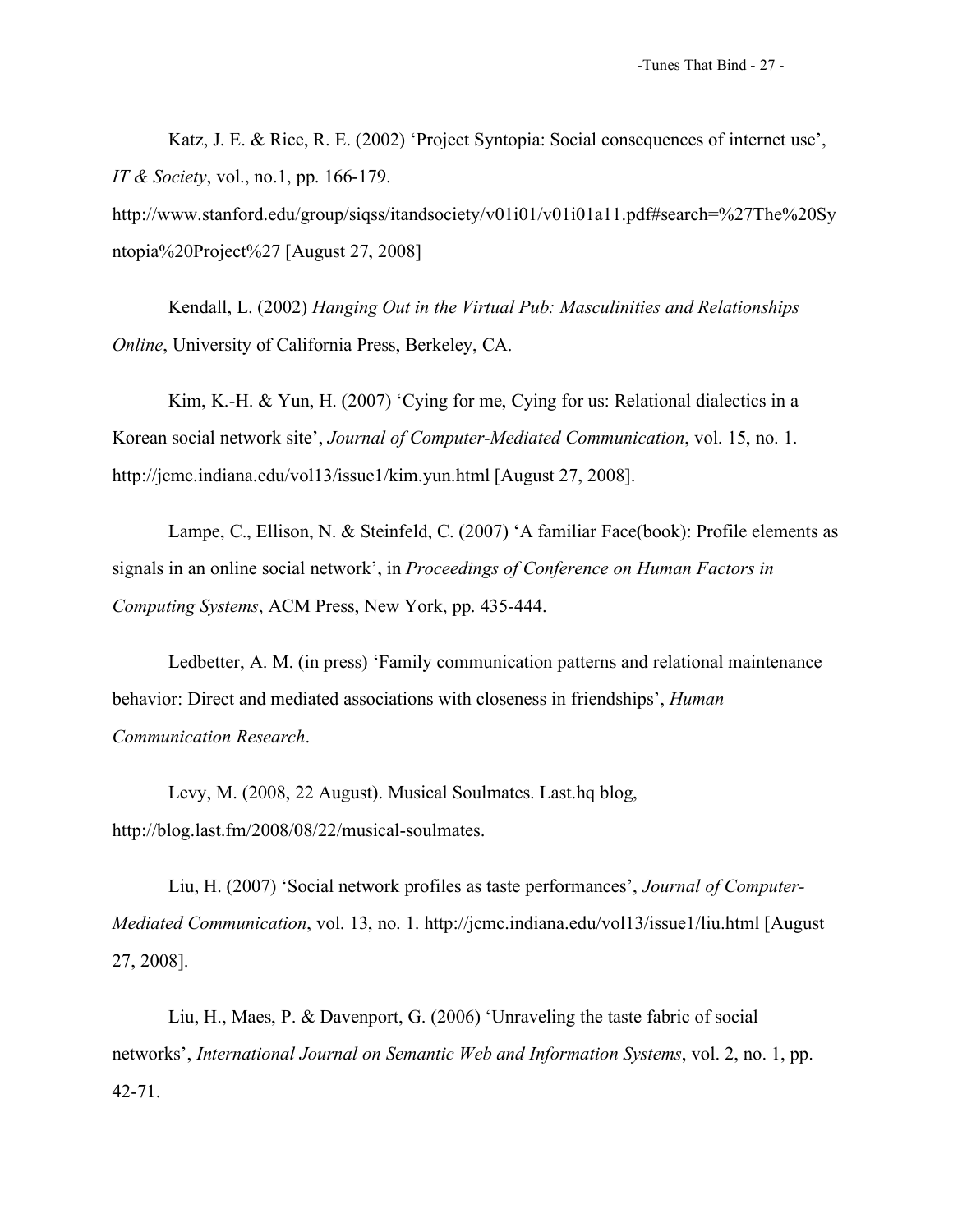Katz, J. E. & Rice, R. E. (2002) 'Project Syntopia: Social consequences of internet use', *IT & Society*, vol., no.1, pp. 166-179.

http://www.stanford.edu/group/siqss/itandsociety/v01i01/v01i01a11.pdf#search=%27The%20Sy ntopia%20Project%27 [August 27, 2008]

Kendall, L. (2002) *Hanging Out in the Virtual Pub: Masculinities and Relationships Online*, University of California Press, Berkeley, CA.

Kim, K.-H. & Yun, H. (2007) 'Cying for me, Cying for us: Relational dialectics in a Korean social network site', *Journal of Computer-Mediated Communication*, vol. 15, no. 1. http://jcmc.indiana.edu/vol13/issue1/kim.yun.html [August 27, 2008].

Lampe, C., Ellison, N. & Steinfeld, C. (2007) 'A familiar Face(book): Profile elements as signals in an online social network', in *Proceedings of Conference on Human Factors in Computing Systems*, ACM Press, New York, pp. 435-444.

Ledbetter, A. M. (in press) 'Family communication patterns and relational maintenance behavior: Direct and mediated associations with closeness in friendships', *Human Communication Research*.

Levy, M. (2008, 22 August). Musical Soulmates. Last.hq blog, http://blog.last.fm/2008/08/22/musical-soulmates.

Liu, H. (2007) 'Social network profiles as taste performances', *Journal of Computer-Mediated Communication*, vol. 13, no. 1. http://jcmc.indiana.edu/vol13/issue1/liu.html [August 27, 2008].

Liu, H., Maes, P. & Davenport, G. (2006) 'Unraveling the taste fabric of social networks', *International Journal on Semantic Web and Information Systems*, vol. 2, no. 1, pp. 42-71.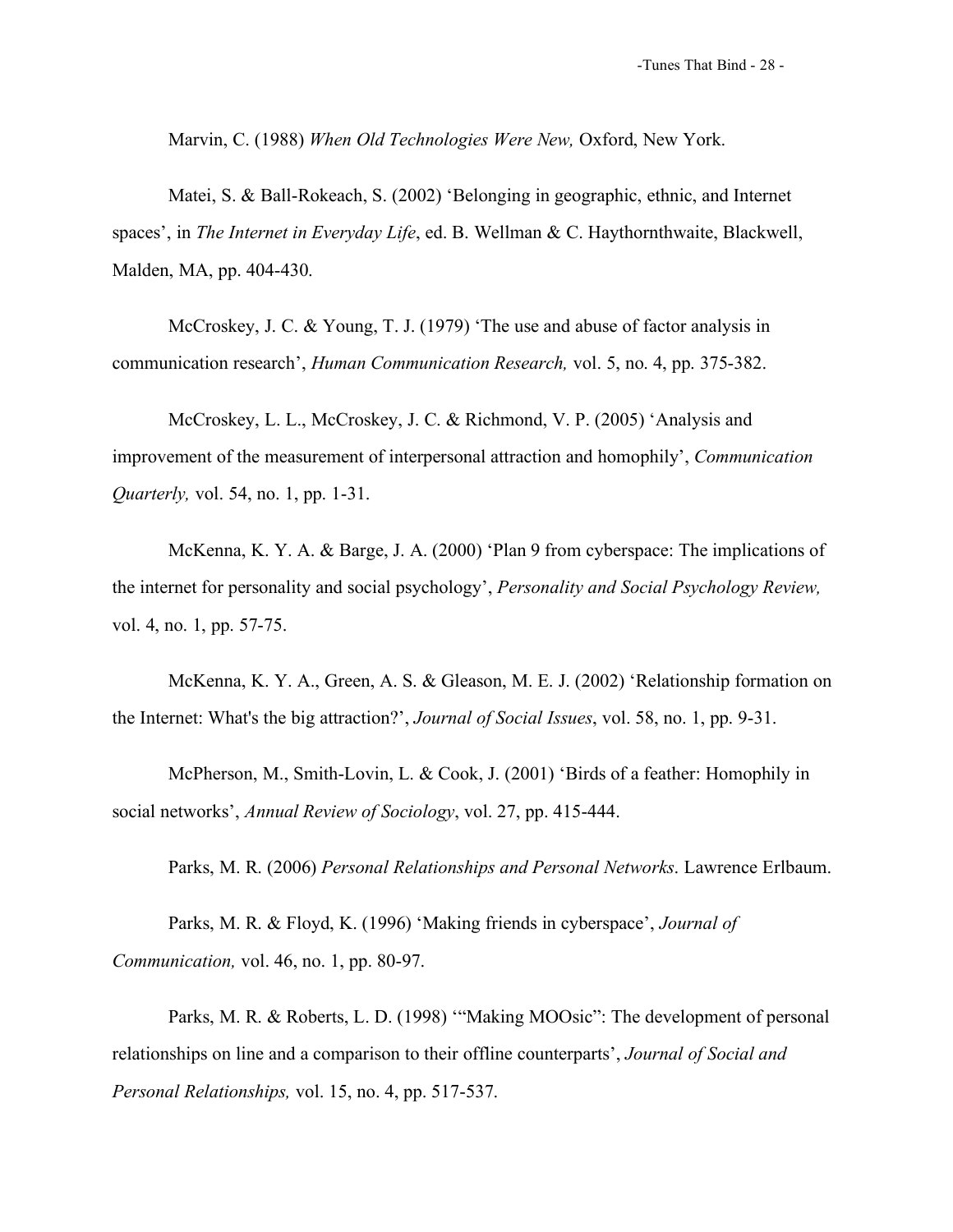Marvin, C. (1988) *When Old Technologies Were New,* Oxford, New York.

Matei, S. & Ball-Rokeach, S. (2002) 'Belonging in geographic, ethnic, and Internet spaces', in *The Internet in Everyday Life*, ed. B. Wellman & C. Haythornthwaite, Blackwell, Malden, MA, pp. 404-430.

McCroskey, J. C. & Young, T. J. (1979) 'The use and abuse of factor analysis in communication research', *Human Communication Research,* vol. 5, no. 4, pp. 375-382.

McCroskey, L. L., McCroskey, J. C. & Richmond, V. P. (2005) 'Analysis and improvement of the measurement of interpersonal attraction and homophily', *Communication Quarterly,* vol. 54, no. 1, pp. 1-31.

McKenna, K. Y. A. & Barge, J. A. (2000) 'Plan 9 from cyberspace: The implications of the internet for personality and social psychology', *Personality and Social Psychology Review,* vol. 4, no. 1, pp. 57-75.

McKenna, K. Y. A., Green, A. S. & Gleason, M. E. J. (2002) 'Relationship formation on the Internet: What's the big attraction?', *Journal of Social Issues*, vol. 58, no. 1, pp. 9-31.

McPherson, M., Smith-Lovin, L. & Cook, J. (2001) 'Birds of a feather: Homophily in social networks', *Annual Review of Sociology*, vol. 27, pp. 415-444.

Parks, M. R. (2006) *Personal Relationships and Personal Networks*. Lawrence Erlbaum.

Parks, M. R. & Floyd, K. (1996) 'Making friends in cyberspace', *Journal of Communication,* vol. 46, no. 1, pp. 80-97.

Parks, M. R. & Roberts, L. D. (1998) '"Making MOOsic": The development of personal relationships on line and a comparison to their offline counterparts', *Journal of Social and Personal Relationships,* vol. 15, no. 4, pp. 517-537.